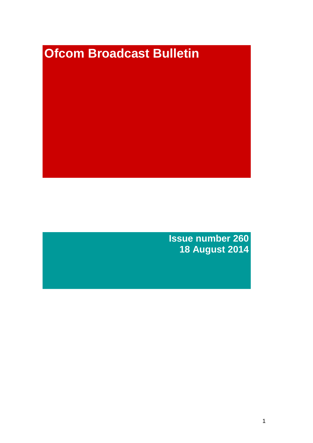# **Ofcom Broadcast Bulletin**

**Issue number 260 18 August 2014**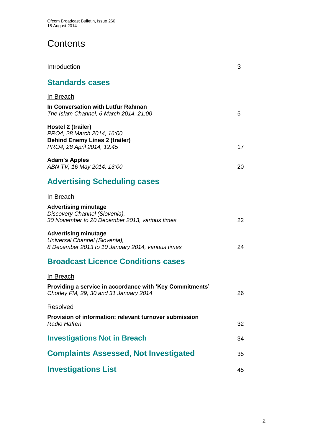# **Contents**

| Introduction                                                                                                            | 3  |
|-------------------------------------------------------------------------------------------------------------------------|----|
| <b>Standards cases</b>                                                                                                  |    |
| In Breach                                                                                                               |    |
| In Conversation with Lutfur Rahman<br>The Islam Channel, 6 March 2014, 21:00                                            | 5  |
| Hostel 2 (trailer)<br>PRO4, 28 March 2014, 16:00<br><b>Behind Enemy Lines 2 (trailer)</b><br>PRO4, 28 April 2014, 12:45 | 17 |
| <b>Adam's Apples</b><br>ABN TV, 16 May 2014, 13:00                                                                      | 20 |
| <b>Advertising Scheduling cases</b>                                                                                     |    |
| In Breach                                                                                                               |    |
| <b>Advertising minutage</b><br>Discovery Channel (Slovenia),<br>30 November to 20 December 2013, various times          | 22 |
| <b>Advertising minutage</b><br>Universal Channel (Slovenia),<br>8 December 2013 to 10 January 2014, various times       | 24 |
| <b>Broadcast Licence Conditions cases</b>                                                                               |    |
| In Breach                                                                                                               |    |
| Providing a service in accordance with 'Key Commitments'<br>Chorley FM, 29, 30 and 31 January 2014                      | 26 |
| Resolved                                                                                                                |    |
| Provision of information: relevant turnover submission<br><b>Radio Hafren</b>                                           | 32 |
| <b>Investigations Not in Breach</b>                                                                                     | 34 |
| <b>Complaints Assessed, Not Investigated</b>                                                                            | 35 |
| <b>Investigations List</b>                                                                                              | 45 |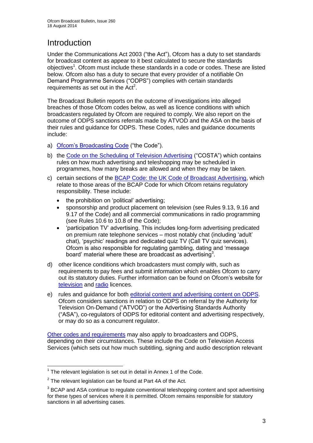# **Introduction**

Under the Communications Act 2003 ("the Act"), Ofcom has a duty to set standards for broadcast content as appear to it best calculated to secure the standards objectives<sup>1</sup>. Ofcom must include these standards in a code or codes. These are listed below. Ofcom also has a duty to secure that every provider of a notifiable On Demand Programme Services ("ODPS") complies with certain standards requirements as set out in the  $Act<sup>2</sup>$ .

The Broadcast Bulletin reports on the outcome of investigations into alleged breaches of those Ofcom codes below, as well as licence conditions with which broadcasters regulated by Ofcom are required to comply. We also report on the outcome of ODPS sanctions referrals made by ATVOD and the ASA on the basis of their rules and guidance for ODPS. These Codes, rules and guidance documents include:

- a) [Ofcom's Broadcasting Code](http://stakeholders.ofcom.org.uk/broadcasting/broadcast-codes/broadcast-code/) ("the Code").
- b) the [Code on the Scheduling of Television Advertising](http://stakeholders.ofcom.org.uk/broadcasting/broadcast-codes/advert-code/) ("COSTA") which contains rules on how much advertising and teleshopping may be scheduled in programmes, how many breaks are allowed and when they may be taken.
- c) certain sections of the BCAP Code: the UK [Code of Broadcast Advertising,](http://www.bcap.org.uk/Advertising-Codes/Broadcast-HTML.aspx) which relate to those areas of the BCAP Code for which Ofcom retains regulatory responsibility. These include:
	- the prohibition on 'political' advertising:
	- sponsorship and product placement on television (see Rules 9.13, 9.16 and 9.17 of the Code) and all commercial communications in radio programming (see Rules 10.6 to 10.8 of the Code);
	- 'participation TV' advertising. This includes long-form advertising predicated on premium rate telephone services – most notably chat (including 'adult' chat), 'psychic' readings and dedicated quiz TV (Call TV quiz services). Ofcom is also responsible for regulating gambling, dating and 'message board' material where these are broadcast as advertising<sup>3</sup>.
- d) other licence conditions which broadcasters must comply with, such as requirements to pay fees and submit information which enables Ofcom to carry out its statutory duties. Further information can be found on Ofcom's website for [television](http://licensing.ofcom.org.uk/tv-broadcast-licences/) and [radio](http://licensing.ofcom.org.uk/radio-broadcast-licensing/) licences.
- e) rules and guidance for both editorial content [and advertising content on ODPS.](http://www.atvod.co.uk/uploads/files/ATVOD_Rules_and_Guidance_Ed_2.0_May_2012.pdf) Ofcom considers sanctions in relation to ODPS on referral by the Authority for Television On-Demand ("ATVOD") or the Advertising Standards Authority ("ASA"), co-regulators of ODPS for editorial content and advertising respectively, or may do so as a concurrent regulator.

[Other codes and requirements](http://stakeholders.ofcom.org.uk/broadcasting/broadcast-codes/) may also apply to broadcasters and ODPS, depending on their circumstances. These include the Code on Television Access Services (which sets out how much subtitling, signing and audio description relevant

<sup>1</sup>  $1$  The relevant legislation is set out in detail in Annex 1 of the Code.

 $2$  The relevant legislation can be found at Part 4A of the Act.

 $3$  BCAP and ASA continue to regulate conventional teleshopping content and spot advertising for these types of services where it is permitted. Ofcom remains responsible for statutory sanctions in all advertising cases.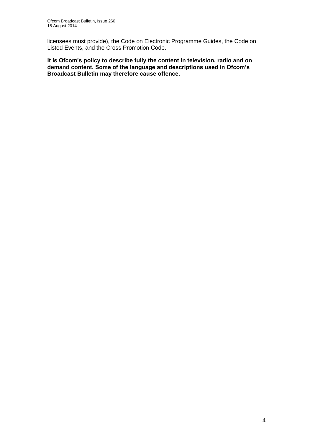licensees must provide), the Code on Electronic Programme Guides, the Code on Listed Events, and the Cross Promotion Code.

**It is Ofcom's policy to describe fully the content in television, radio and on demand content. Some of the language and descriptions used in Ofcom's Broadcast Bulletin may therefore cause offence.**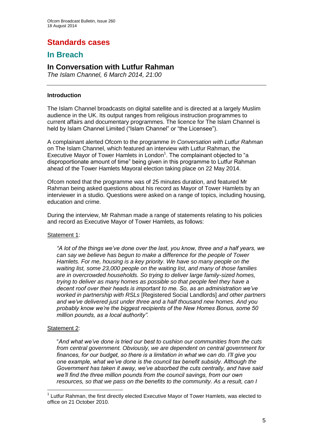# **Standards cases**

## **In Breach**

## **In Conversation with Lutfur Rahman**

*The Islam Channel, 6 March 2014, 21:00*

#### **Introduction**

The Islam Channel broadcasts on digital satellite and is directed at a largely Muslim audience in the UK. Its output ranges from religious instruction programmes to current affairs and documentary programmes. The licence for The Islam Channel is held by Islam Channel Limited ("Islam Channel" or "the Licensee").

A complainant alerted Ofcom to the programme *In Conversation with Lutfur Rahman* on The Islam Channel, which featured an interview with Lutfur Rahman, the Executive Mayor of Tower Hamlets in London<sup>1</sup>. The complainant objected to "a disproportionate amount of time" being given in this programme to Lutfur Rahman ahead of the Tower Hamlets Mayoral election taking place on 22 May 2014.

Ofcom noted that the programme was of 25 minutes duration, and featured Mr Rahman being asked questions about his record as Mayor of Tower Hamlets by an interviewer in a studio. Questions were asked on a range of topics, including housing, education and crime.

During the interview, Mr Rahman made a range of statements relating to his policies and record as Executive Mayor of Tower Hamlets, as follows:

#### Statement 1:

*"A lot of the things we've done over the last, you know, three and a half years, we can say we believe has begun to make a difference for the people of Tower Hamlets. For me, housing is a key priority*. *We have so many people on the waiting list, some 23,000 people on the waiting list, and many of those families are in overcrowded households. So trying to deliver large family-sized homes, trying to deliver as many homes as possible so that people feel they have a decent roof over their heads is important to me. So, as an administration we've worked in partnership with RSLs* [Registered Social Landlords] *and other partners and we've delivered just under three and a half thousand new homes. And you probably know we're the biggest recipients of the New Homes Bonus, some 50 million pounds, as a local authority".* 

#### Statement 2:

1

"*And what we've done is tried our best to cushion our communities from the cuts from central government. Obviously, we are dependent on central government for finances, for our budget, so there is a limitation in what we can do. I'll give you one example, what we've done is the council tax benefit subsidy. Although the Government has taken it away, we've absorbed the cuts centrally, and have said we'll find the three million pounds from the council savings, from our own resources, so that we pass on the benefits to the community. As a result, can I* 

<sup>&</sup>lt;sup>1</sup> Lutfur Rahman, the first directly elected Executive Mayor of Tower Hamlets, was elected to office on 21 October 2010.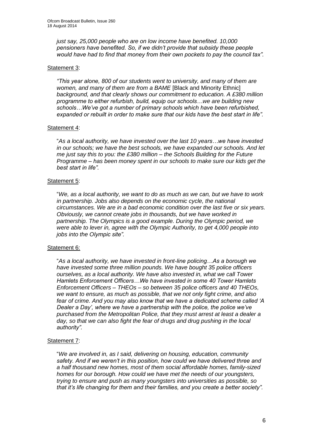*just say, 25,000 people who are on low income have benefited. 10,000 pensioners have benefited. So, if we didn't provide that subsidy these people would have had to find that money from their own pockets to pay the council tax".*

#### Statement 3:

*"This year alone, 800 of our students went to university, and many of them are women, and many of them are from a BAME* [Black and Minority Ethnic] *background, and that clearly shows our commitment to education. A £380 million programme to either refurbish, build, equip our schools…we are building new schools…We've got a number of primary schools which have been refurbished, expanded or rebuilt in order to make sure that our kids have the best start in life".*

#### Statement 4:

"*As a local authority, we have invested over the last 10 years…we have invested in our schools; we have the best schools, we have expanded our schools. And let me just say this to you: the £380 million – the Schools Building for the Future Programme – has been money spent in our schools to make sure our kids get the best start in life".*

#### Statement 5:

"*We, as a local authority, we want to do as much as we can, but we have to work in partnership. Jobs also depends on the economic cycle, the national circumstances. We are in a bad economic condition over the last five or six years. Obviously, we cannot create jobs in thousands, but we have worked in partnership. The Olympics is a good example. During the Olympic period, we were able to lever in, agree with the Olympic Authority, to get 4,000 people into jobs into the Olympic site".*

#### Statement 6:

"*As a local authority, we have invested in front-line policing…As a borough we have invested some three million pounds. We have bought 35 police officers ourselves, as a local authority. We have also invested in, what we call Tower Hamlets Enforcement Officers…We have invested in some 40 Tower Hamlets Enforcement Officers – THEOs – so between 35 police officers and 40 THEOs, we want to ensure, as much as possible, that we not only fight crime, and also fear of crime. And you may also know that we have a dedicated scheme called 'A Dealer a Day', where we have a partnership with the police, the police we've purchased from the Metropolitan Police, that they must arrest at least a dealer a day, so that we can also fight the fear of drugs and drug pushing in the local authority".*

#### Statement 7:

"*We are involved in, as I said, delivering on housing, education, community safety. And if we weren't in this position, how could we have delivered three and a half thousand new homes, most of them social affordable homes, family-sized homes for our borough. How could we have met the needs of our youngsters, trying to ensure and push as many youngsters into universities as possible, so that it's life changing for them and their families, and you create a better society".*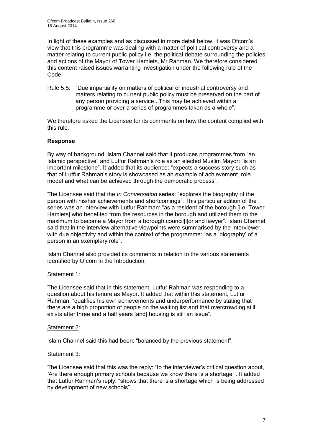In light of these examples and as discussed in more detail below, it was Ofcom's view that this programme was dealing with a matter of political controversy and a matter relating to current public policy i.e. the political debate surrounding the policies and actions of the Mayor of Tower Hamlets, Mr Rahman. We therefore considered this content raised issues warranting investigation under the following rule of the Code:

Rule 5.5: "Due impartiality on matters of political or industrial controversy and matters relating to current public policy must be preserved on the part of any person providing a service...This may be achieved within a programme or over a series of programmes taken as a whole".

We therefore asked the Licensee for its comments on how the content complied with this rule.

#### **Response**

By way of background, Islam Channel said that it produces programmes from "an Islamic perspective" and Lutfur Rahman's role as an elected Muslim Mayor: "is an important milestone". It added that its audience: "expects a success story such as that of Lutfur Rahman's story is showcased as an example of achievement, role model and what can be achieved through the democratic process".

The Licensee said that the *In Conversation* series: "explores the biography of the person with his/her achievements and shortcomings". This particular edition of the series was an interview with Lutfur Rahman: "as a resident of the borough [i.e. Tower Hamlets] who benefited from the resources in the borough and utilized them to the maximum to become a Mayor from a borough council[l]or and lawyer". Islam Channel said that in the interview alternative viewpoints were summarised by the interviewer with due objectivity and within the context of the programme: "as a 'biography' of a person in an exemplary role".

Islam Channel also provided its comments in relation to the various statements identified by Ofcom in the Introduction.

#### Statement 1:

The Licensee said that in this statement, Lutfur Rahman was responding to a question about his tenure as Mayor. It added that within this statement, Lutfur Rahman: "qualifies his own achievements and underperformance by stating that there are a high proportion of people on the waiting list and that overcrowding still exists after three and a half years [and] housing is still an issue".

#### Statement 2:

Islam Channel said this had been: "balanced by the previous statement".

#### Statement 3:

The Licensee said that this was the reply: "to the interviewer's critical question about, *'*Are there enough primary schools because we know there is a shortage'*".* It added that Lutfur Rahman's reply: "shows that there is a shortage which is being addressed by development of new schools".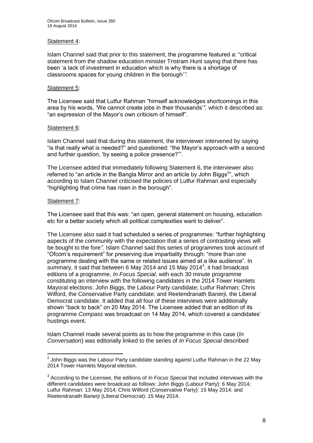#### Statement 4:

Islam Channel said that prior to this statement, the programme featured a: "critical statement from the shadow education minister Tristram Hunt saying that there has been 'a lack of investment in education which is why there is a shortage of classrooms spaces for young children in the borough'*".*

#### Statement 5:

The Licensee said that Lutfur Rahman "himself acknowledges shortcomings in this area by his words, 'We cannot create jobs in their thousands'*",* which it described as: "an expression of the Mayor's own criticism of himself".

#### Statement 6:

Islam Channel said that during this statement, the interviewer intervened by saying "is that really what is needed?" and questioned: "the Mayor's approach with a second and further question, 'by seeing a police presence?'".

The Licensee added that immediately following Statement 6, the interviewer also referred to "an article in the Bangla Mirror and an article by John Biggs<sup>2</sup>", which according to Islam Channel criticised the policies of Lutfur Rahman and especially "highlighting that crime has risen in the borough".

#### Statement 7:

The Licensee said that this was: "an open, general statement on housing, education etc for a better society which all political complexities want to deliver".

The Licensee also said it had scheduled a series of programmes: "further highlighting aspects of the community with the expectation that a series of contrasting views will be bought to the fore*".* Islam Channel said this series of programmes took account of "Ofcom's requirement" for preserving due impartiality through: "more than one programme dealing with the same or related issues aimed at a like audience". In summary, it said that between 6 May 2014 and 15 May 2014 $^3$ , it had broadcast editions of a programme, *In Focus Special*, with each 30 minute programme constituting an interview with the following candidates in the 2014 Tower Hamlets Mayoral elections: John Biggs, the Labour Party candidate; Lutfur Rahman; Chris Wilford, the Conservative Party candidate; and Reetendranath Banerji, the Liberal Democrat candidate. It added that all four of these interviews were additionally shown "back to back" on 20 May 2014. The Licensee added that an edition of its programme *Compass* was broadcast on 14 May 2014, which covered a candidates' hustings event.

Islam Channel made several points as to how the programme in this case (*In Conversation*) was editorially linked to the series of *In Focus Special* described

<sup>1</sup>  $2$  John Biggs was the Labour Party candidate standing against Lutfur Rahman in the 22 May 2014 Tower Hamlets Mayoral election.

<sup>3</sup> According to the Licensee, the editions of *In Focus Special* that included interviews with the different candidates were broadcast as follows: John Biggs (Labour Party}: 6 May 2014; Lutfur Rahman: 13 May 2014; Chris Wilford (Conservative Party): 15 May 2014; and Reetendranath Banerji (Liberal Democrat): 15 May 2014.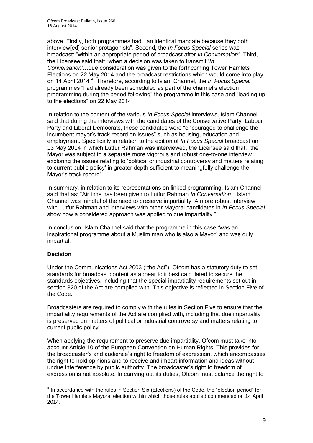above. Firstly, both programmes had: "an identical mandate because they both interview[ed] senior protagonists". Second, the *In Focus Special* series was broadcast: "within an appropriate period of broadcast after *In Conversation"*. Third, the Licensee said that: "when a decision was taken to transmit '*In Conversation'*…due consideration was given to the forthcoming Tower Hamlets Elections on 22 May 2014 and the broadcast restrictions which would come into play on 14 April 2014<sup>"4</sup>. Therefore, according to Islam Channel, the *In Focus Special* programmes "had already been scheduled as part of the channel's election programming during the period following" the programme in this case and "leading up to the elections" on 22 May 2014.

In relation to the content of the various *In Focus Special* interviews, Islam Channel said that during the interviews with the candidates of the Conservative Party, Labour Party and Liberal Democrats, these candidates were "encouraged to challenge the incumbent mayor's track record on issues" such as housing, education and employment. Specifically in relation to the edition of *In Focus Special* broadcast on 13 May 2014 in which Lutfur Rahman was interviewed, the Licensee said that: "the Mayor was subject to a separate more vigorous and robust one-to-one interview exploring the issues relating to 'political or industrial controversy and matters relating to current public policy' in greater depth sufficient to meaningfully challenge the Mayor's track record".

In summary, in relation to its representations on linked programming, Islam Channel said that as: "Air time has been given to Lutfur Rahman *In Conversation…*Islam Channel was mindful of the need to preserve impartiality. A more robust interview with Lutfur Rahman and interviews with other Mayoral candidates in *In Focus Special*  show how a considered approach was applied to due impartiality."

In conclusion, Islam Channel said that the programme in this case *"*was an inspirational programme about a Muslim man who is also a Mayor" and was duly impartial.

#### **Decision**

1

Under the Communications Act 2003 ("the Act"), Ofcom has a statutory duty to set standards for broadcast content as appear to it best calculated to secure the standards objectives, including that the special impartiality requirements set out in section 320 of the Act are complied with. This objective is reflected in Section Five of the Code.

Broadcasters are required to comply with the rules in Section Five to ensure that the impartiality requirements of the Act are complied with, including that due impartiality is preserved on matters of political or industrial controversy and matters relating to current public policy.

When applying the requirement to preserve due impartiality, Ofcom must take into account Article 10 of the European Convention on Human Rights. This provides for the broadcaster's and audience's right to freedom of expression, which encompasses the right to hold opinions and to receive and impart information and ideas without undue interference by public authority. The broadcaster's right to freedom of expression is not absolute. In carrying out its duties, Ofcom must balance the right to

 $<sup>4</sup>$  In accordance with the rules in Section Six (Elections) of the Code, the "election period" for</sup> the Tower Hamlets Mayoral election within which those rules applied commenced on 14 April 2014.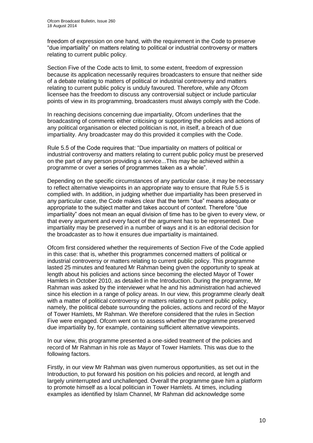freedom of expression on one hand, with the requirement in the Code to preserve "due impartiality" on matters relating to political or industrial controversy or matters relating to current public policy.

Section Five of the Code acts to limit, to some extent, freedom of expression because its application necessarily requires broadcasters to ensure that neither side of a debate relating to matters of political or industrial controversy and matters relating to current public policy is unduly favoured. Therefore, while any Ofcom licensee has the freedom to discuss any controversial subject or include particular points of view in its programming, broadcasters must always comply with the Code.

In reaching decisions concerning due impartiality, Ofcom underlines that the broadcasting of comments either criticising or supporting the policies and actions of any political organisation or elected politician is not, in itself, a breach of due impartiality. Any broadcaster may do this provided it complies with the Code.

Rule 5.5 of the Code requires that: "Due impartiality on matters of political or industrial controversy and matters relating to current public policy must be preserved on the part of any person providing a service...This may be achieved within a programme or over a series of programmes taken as a whole".

Depending on the specific circumstances of any particular case, it may be necessary to reflect alternative viewpoints in an appropriate way to ensure that Rule 5.5 is complied with. In addition, in judging whether due impartiality has been preserved in any particular case, the Code makes clear that the term "due" means adequate or appropriate to the subject matter and takes account of context. Therefore "due impartiality" does not mean an equal division of time has to be given to every view, or that every argument and every facet of the argument has to be represented. Due impartiality may be preserved in a number of ways and it is an editorial decision for the broadcaster as to how it ensures due impartiality is maintained.

Ofcom first considered whether the requirements of Section Five of the Code applied in this case: that is, whether this programmes concerned matters of political or industrial controversy or matters relating to current public policy. This programme lasted 25 minutes and featured Mr Rahman being given the opportunity to speak at length about his policies and actions since becoming the elected Mayor of Tower Hamlets in October 2010, as detailed in the Introduction. During the programme, Mr Rahman was asked by the interviewer what he and his administration had achieved since his election in a range of policy areas. In our view, this programme clearly dealt with a matter of political controversy or matters relating to current public policy, namely, the political debate surrounding the policies, actions and record of the Mayor of Tower Hamlets, Mr Rahman. We therefore considered that the rules in Section Five were engaged. Ofcom went on to assess whether the programme preserved due impartiality by, for example, containing sufficient alternative viewpoints.

In our view, this programme presented a one-sided treatment of the policies and record of Mr Rahman in his role as Mayor of Tower Hamlets. This was due to the following factors.

Firstly, in our view Mr Rahman was given numerous opportunities, as set out in the Introduction, to put forward his position on his policies and record, at length and largely uninterrupted and unchallenged. Overall the programme gave him a platform to promote himself as a local politician in Tower Hamlets. At times, including examples as identified by Islam Channel, Mr Rahman did acknowledge some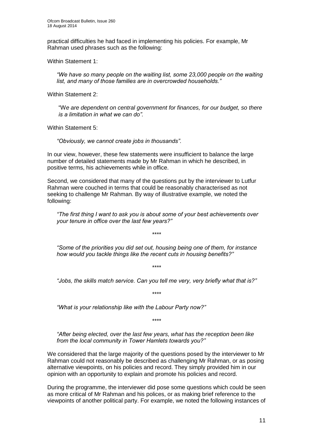practical difficulties he had faced in implementing his policies. For example, Mr Rahman used phrases such as the following:

Within Statement 1:

*"We have so many people on the waiting list, some 23,000 people on the waiting list, and many of those families are in overcrowded households."*

Within Statement 2:

"W*e are dependent on central government for finances, for our budget, so there is a limitation in what we can do".*

Within Statement 5:

*"Obviously, we cannot create jobs in thousands"*.

In our view, however, these few statements were insufficient to balance the large number of detailed statements made by Mr Rahman in which he described, in positive terms, his achievements while in office.

Second, we considered that many of the questions put by the interviewer to Lutfur Rahman were couched in terms that could be reasonably characterised as not seeking to challenge Mr Rahman. By way of illustrative example, we noted the following:

*"The first thing I want to ask you is about some of your best achievements over your tenure in office over the last few years?"*

*"Some of the priorities you did set out, housing being one of them, for instance how would you tackle things like the recent cuts in housing benefits?"*

*\*\*\*\**

*\*\*\*\**

*"Jobs, the skills match service. Can you tell me very, very briefly what that is?"*

*\*\*\*\**

*"What is your relationship like with the Labour Party now?"*

*\*\*\*\**

*"After being elected, over the last few years, what has the reception been like from the local community in Tower Hamlets towards you?"*

We considered that the large majority of the questions posed by the interviewer to Mr Rahman could not reasonably be described as challenging Mr Rahman, or as posing alternative viewpoints, on his policies and record. They simply provided him in our opinion with an opportunity to explain and promote his policies and record.

During the programme, the interviewer did pose some questions which could be seen as more critical of Mr Rahman and his polices, or as making brief reference to the viewpoints of another political party. For example, we noted the following instances of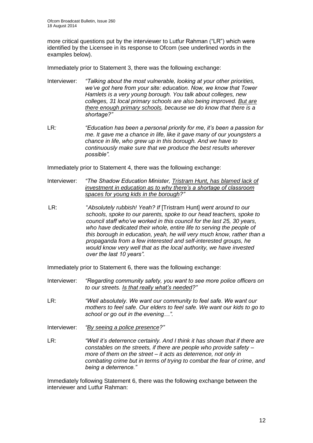more critical questions put by the interviewer to Lutfur Rahman ("LR") which were identified by the Licensee in its response to Ofcom (see underlined words in the examples below).

Immediately prior to Statement 3, there was the following exchange:

- Interviewer: *"Talking about the most vulnerable, looking at your other priorities, we've got here from your site: education. Now, we know that Tower Hamlets is a very young borough. You talk about colleges, new colleges, 31 local primary schools are also being improved. But are there enough primary schools, because we do know that there is a shortage?"*
- LR*: "Education has been a personal priority for me, it's been a passion for me. It gave me a chance in life, like it gave many of our youngsters a chance in life, who grew up in this borough. And we have to continuously make sure that we produce the best results wherever possible".*

Immediately prior to Statement 4, there was the following exchange:

- Interviewer: *"The Shadow Education Minister, Tristram Hunt, has blamed lack of investment in education as to why there's a shortage of classroom spaces for young kids in the borough?"*
- LR: "*Absolutely rubbish! Yeah? If* [Tristram Hunt] *went around to our schools, spoke to our parents, spoke to our head teachers, spoke to council staff who've worked in this council for the last 25, 30 years, who have dedicated their whole, entire life to serving the people of this borough in education, yeah, he will very much know, rather than a propaganda from a few interested and self-interested groups, he would know very well that as the local authority, we have invested over the last 10 years".*

Immediately prior to Statement 6, there was the following exchange:

- Interviewer: *"Regarding community safety, you want to see more police officers on to our streets. Is that really what's needed?"*
- LR: *"Well absolutely. We want our community to feel safe. We want our mothers to feel safe. Our elders to feel safe. We want our kids to go to school or go out in the evening…".*
- Interviewer: *"By seeing a police presence?"*
- LR: *"Well it's deterrence certainly. And I think it has shown that if there are constables on the streets, if there are people who provide safety – more of them on the street – it acts as deterrence, not only in combating crime but in terms of trying to combat the fear of crime, and being a deterrence."*

Immediately following Statement 6, there was the following exchange between the interviewer and Lutfur Rahman: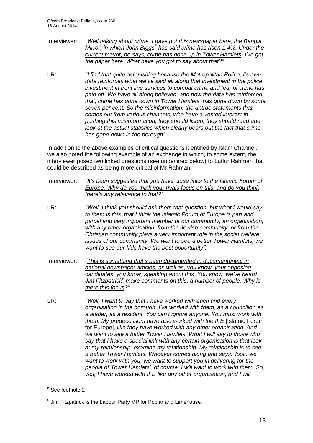- Interviewer: *"Well talking about crime, I have got this newspaper here, the Bangla Mirror, in which John Biggs<sup>5</sup> has said crime has risen 1.4%. Under the current mayor, he says, crime has gone up in Tower Hamlets. I've got the paper here. What have you got to say about that?"*
- LR: *"I find that quite astonishing because the Metropolitan Police, its own data reinforces what we've said all along that investment in the police, investment in front line services to combat crime and fear of crime has paid off. We have all along believed, and now the data has reinforced that, crime has gone down in Tower Hamlets, has gone down by some seven per cent. So the misinformation, the untrue statements that comes out from various channels, who have a vested interest in pushing this misinformation, they should listen, they should read and look at the actual statistics which clearly bears out the fact that crime has gone down in the borough".*

In addition to the above examples of critical questions identified by Islam Channel, we also noted the following example of an exchange in which, to some extent, the interviewer posed two linked questions (see underlined below) to Lutfur Rahman that could be described as being more critical of Mr Rahman:

Interviewer: *"It's been suggested that you have close links to the Islamic Forum of Europe. Why do you think your rivals focus on this, and do you think there's any relevance to that?"*

LR: *"Well, I think you should ask them that question, but what I would say to them is this: that I think the Islamic Forum of Europe is part and parcel and very important member of our community, an organisation, with any other organisation, from the Jewish community, or from the Christian community plays a very important role in the social welfare issues of our community. We want to see a better Tower Hamlets, we want to see our kids have the best opportunity".*

- Interviewer: *"This is something that's been documented in documentaries, in national newspaper articles, as well as, you know, your opposing candidates, you know, speaking about this. You know, we've heard Jim Fitzpatrick<sup>6</sup> make comments on this, a number of people. Why is there this focus?"*
- LR: *"Well, I want to say that I have worked with each and every organisation in the borough, I've worked with them, as a councillor, as a leader, as a resident. You can't ignore anyone. You must work with them. My predecessors have also worked with the IFE* [Islamic Forum for Europe]*, like they have worked with any other organisation. And we want to see a better Tower Hamlets. What I will say to those who say that I have a special link with any certain organisation is that look at my relationship, examine my relationship. My relationship is to see a better Tower Hamlets. Whoever comes along and says, 'look, we want to work with you, we want to support you in delivering for the people of Tower Hamlets', of course, I will want to work with them. So, yes, I have worked with IFE like any other organisation, and I will*

<sup>1</sup> 5 See footnote 2

 $6$  Jim Fitzpatrick is the Labour Party MP for Poplar and Limehouse.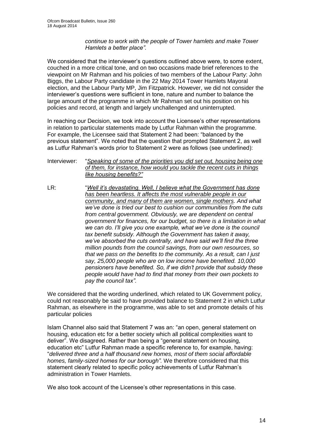#### *continue to work with the people of Tower hamlets and make Tower Hamlets a better place".*

We considered that the interviewer's questions outlined above were, to some extent, couched in a more critical tone, and on two occasions made brief references to the viewpoint on Mr Rahman and his policies of two members of the Labour Party: John Biggs, the Labour Party candidate in the 22 May 2014 Tower Hamlets Mayoral election, and the Labour Party MP, Jim Fitzpatrick. However, we did not consider the interviewer's questions were sufficient in tone, nature and number to balance the large amount of the programme in which Mr Rahman set out his position on his policies and record, at length and largely unchallenged and uninterrupted.

In reaching our Decision, we took into account the Licensee's other representations in relation to particular statements made by Lutfur Rahman within the programme. For example, the Licensee said that Statement 2 had been: "balanced by the previous statement". We noted that the question that prompted Statement 2, as well as Lutfur Rahman's words prior to Statement 2 were as follows (see underlined):

Interviewer: "*Speaking of some of the priorities you did set out, housing being one of them, for instance, how would you tackle the recent cuts in things like housing benefits?"*

LR: "*Well it's devastating. Well, I believe what the Government has done has been heartless. It affects the most vulnerable people in our community, and many of them are women, single mothers. And what we've done is tried our best to cushion our communities from the cuts from central government. Obviously, we are dependent on central government for finances, for our budget, so there is a limitation in what we can do. I'll give you one example, what we've done is the council tax benefit subsidy. Although the Government has taken it away, we've absorbed the cuts centrally, and have said we'll find the three million pounds from the council savings, from our own resources, so that we pass on the benefits to the community. As a result, can I just say, 25,000 people who are on low income have benefited. 10,000 pensioners have benefited. So, if we didn't provide that subsidy these people would have had to find that money from their own pockets to pay the council tax".*

We considered that the wording underlined, which related to UK Government policy, could not reasonably be said to have provided balance to Statement 2 in which Lutfur Rahman, as elsewhere in the programme, was able to set and promote details of his particular policies

Islam Channel also said that Statement 7 was an: "an open, general statement on housing, education etc for a better society which all political complexities want to deliver". We disagreed. Rather than being a "general statement on housing, education etc" Lutfur Rahman made a specific reference to, for example, having: "*delivered three and a half thousand new homes, most of them social affordable homes, family-sized homes for our borough".* We therefore considered that this statement clearly related to specific policy achievements of Lutfur Rahman's administration in Tower Hamlets.

We also took account of the Licensee's other representations in this case.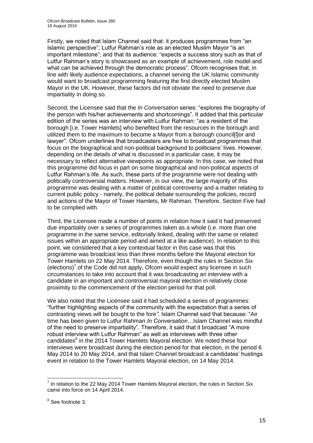Firstly, we noted that Islam Channel said that: it produces programmes from "an Islamic perspective"; Lutfur Rahman's role as an elected Muslim Mayor "is an important milestone"; and that its audience: "expects a success story such as that of Lutfur Rahman's story is showcased as an example of achievement, role model and what can be achieved through the democratic process". Ofcom recognises that, in line with likely audience expectations, a channel serving the UK Islamic community would want to broadcast programming featuring the first directly elected Muslim Mayor in the UK. However, these factors did not obviate the need to preserve due impartiality in doing so.

Second, the Licensee said that the *In Conversation* series: "explores the biography of the person with his/her achievements and shortcomings". It added that this particular edition of the series was an interview with Lutfur Rahman: "as a resident of the borough [i.e. Tower Hamlets] who benefited from the resources in the borough and utilized them to the maximum to become a Mayor from a borough council[l]or and lawyer". Ofcom underlines that broadcasters are free to broadcast programmes that focus on the biographical and non-political background to politicians' lives. However, depending on the details of what is discussed in a particular case, it may be necessary to reflect alternative viewpoints as appropriate. In this case, we noted that this programme did focus in part on some biographical and non-political aspects of Lutfur Rahman's life. As such, these parts of the programme were not dealing with politically controversial matters. However, in our view, the large majority of this programme was dealing with a matter of political controversy and a matter relating to current public policy - namely, the political debate surrounding the policies, record and actions of the Mayor of Tower Hamlets, Mr Rahman. Therefore, Section Five had to be complied with.

Third, the Licensee made a number of points in relation how it said it had preserved due impartiality over a series of programmes taken as a whole (i.e. more than one programme in the same service, editorially linked, dealing with the same or related issues within an appropriate period and aimed at a like audience). In relation to this point, we considered that a key contextual factor in this case was that this programme was broadcast less than three months before the Mayoral election for Tower Hamlets on 22 May 2014. Therefore, even though the rules in Section Six  $(elections)^7$  of the Code did not apply, Ofcom would expect any licensee in such circumstances to take into account that it was broadcasting an interview with a candidate in an important and controversial mayoral election in relatively close proximity to the commencement of the election period for that poll.

We also noted that the Licensee said it had scheduled a series of programmes: "further highlighting aspects of the community with the expectation that a series of contrasting views will be bought to the fore*".* Islam Channel said that because: "Air time has been given to Lutfur Rahman *In Conversation…*Islam Channel was mindful of the need to preserve impartiality". Therefore, it said that it broadcast "A more robust interview with Lutfur Rahman" as well as interviews with three other candidates<sup>8</sup> in the 2014 Tower Hamlets Mayoral election. We noted these four interviews were broadcast during the election period for that election, in the period 6 May 2014 to 20 May 2014, and that Islam Channel broadcast a candidates' hustings event in relation to the Tower Hamlets Mayoral election, on 14 May 2014.

<sup>1</sup>  $<sup>7</sup>$  In relation to the 22 May 2014 Tower Hamlets Mayoral election, the rules in Section Six</sup> came into force on 14 April 2014.

<sup>&</sup>lt;sup>8</sup> See footnote 3.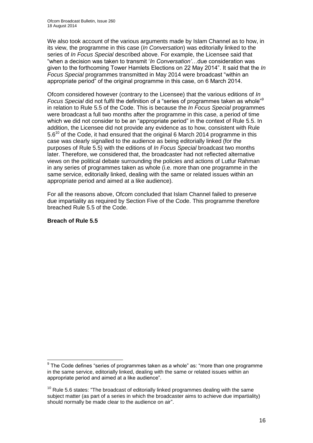We also took account of the various arguments made by Islam Channel as to how, in its view, the programme in this case (*In Conversation*) was editorially linked to the series of *In Focus Special* described above. For example, the Licensee said that "when a decision was taken to transmit '*In Conversation'*…due consideration was given to the forthcoming Tower Hamlets Elections on 22 May 2014". It said that the *In Focus Special* programmes transmitted in May 2014 were broadcast "within an appropriate period" of the original programme in this case, on 6 March 2014.

Ofcom considered however (contrary to the Licensee) that the various editions of *In Focus Special* did not fulfil the definition of a "series of programmes taken as whole"<sup>9</sup> in relation to Rule 5.5 of the Code. This is because the *In Focus Special* programmes were broadcast a full two months after the programme in this case, a period of time which we did not consider to be an "appropriate period" in the context of Rule 5.5. In addition, the Licensee did not provide any evidence as to how, consistent with Rule  $5.6^{10}$  of the Code, it had ensured that the original 6 March 2014 programme in this case was clearly signalled to the audience as being editorially linked (for the purposes of Rule 5.5) with the editions of *In Focus Special* broadcast two months later. Therefore, we considered that, the broadcaster had not reflected alternative views on the political debate surrounding the policies and actions of Lutfur Rahman in any series of programmes taken as whole (i.e. more than one programme in the same service, editorially linked, dealing with the same or related issues within an appropriate period and aimed at a like audience).

For all the reasons above, Ofcom concluded that Islam Channel failed to preserve due impartiality as required by Section Five of the Code. This programme therefore breached Rule 5.5 of the Code.

#### **Breach of Rule 5.5**

1

 $9$  The Code defines "series of programmes taken as a whole" as: "more than one programme in the same service, editorially linked, dealing with the same or related issues within an appropriate period and aimed at a like audience".

 $10$  Rule 5.6 states: "The broadcast of editorially linked programmes dealing with the same subject matter (as part of a series in which the broadcaster aims to achieve due impartiality) should normally be made clear to the audience on air".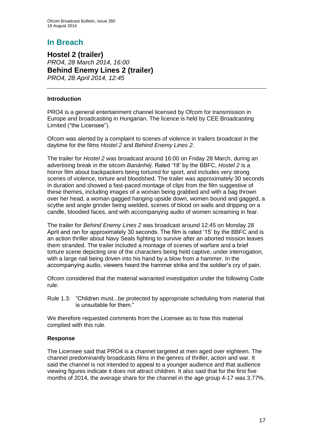# **In Breach**

**Hostel 2 (trailer)** *PRO4, 28 March 2014, 16:00* **Behind Enemy Lines 2 (trailer)** *PRO4, 28 April 2014, 12:45*

#### **Introduction**

PRO4 is a general entertainment channel licensed by Ofcom for transmission in Europe and broadcasting in Hungarian. The licence is held by CEE Broadcasting Limited ("the Licensee").

Ofcom was alerted by a complaint to scenes of violence in trailers broadcast in the daytime for the films *Hostel 2* and *Behind Enemy Lines 2*.

The trailer for *Hostel 2* was broadcast around 16:00 on Friday 28 March, during an advertising break in the sitcom *Banánhéj*. Rated '18' by the BBFC, *Hostel 2* is a horror film about backpackers being tortured for sport, and includes very strong scenes of violence, torture and bloodshed. The trailer was approximately 30 seconds in duration and showed a fast-paced montage of clips from the film suggestive of these themes, including images of a woman being grabbed and with a bag thrown over her head, a woman gagged hanging upside down, women bound and gagged, a scythe and angle grinder being wielded, scenes of blood on walls and dripping on a candle, bloodied faces, and with accompanying audio of women screaming in fear.

The trailer for *Behind Enemy Lines 2* was broadcast around 12:45 on Monday 28 April and ran for approximately 30 seconds. The film is rated '15' by the BBFC and is an action thriller about Navy Seals fighting to survive after an aborted mission leaves them stranded. The trailer included a montage of scenes of warfare and a brief torture scene depicting one of the characters being held captive, under interrogation, with a large nail being driven into his hand by a blow from a hammer. In the accompanying audio, viewers heard the hammer strike and the soldier's cry of pain.

Ofcom considered that the material warranted investigation under the following Code rule:

Rule 1.3: "Children must...be protected by appropriate scheduling from material that is unsuitable for them."

We therefore requested comments from the Licensee as to how this material complied with this rule.

#### **Response**

The Licensee said that PRO4 is a channel targeted at men aged over eighteen. The channel predominantly broadcasts films in the genres of thriller, action and war. It said the channel is not intended to appeal to a younger audience and that audience viewing figures indicate it does not attract children. It also said that for the first five months of 2014, the average share for the channel in the age group 4-17 was 3.77%.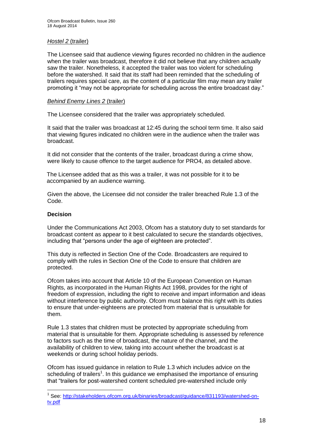#### *Hostel 2* (trailer)

The Licensee said that audience viewing figures recorded no children in the audience when the trailer was broadcast, therefore it did not believe that any children actually saw the trailer. Nonetheless, it accepted the trailer was too violent for scheduling before the watershed. It said that its staff had been reminded that the scheduling of trailers requires special care, as the content of a particular film may mean any trailer promoting it "may not be appropriate for scheduling across the entire broadcast day."

#### *Behind Enemy Lines 2* (trailer)

The Licensee considered that the trailer was appropriately scheduled.

It said that the trailer was broadcast at 12:45 during the school term time. It also said that viewing figures indicated no children were in the audience when the trailer was broadcast.

It did not consider that the contents of the trailer, broadcast during a crime show, were likely to cause offence to the target audience for PRO4, as detailed above.

The Licensee added that as this was a trailer, it was not possible for it to be accompanied by an audience warning.

Given the above, the Licensee did not consider the trailer breached Rule 1.3 of the Code.

#### **Decision**

1

Under the Communications Act 2003, Ofcom has a statutory duty to set standards for broadcast content as appear to it best calculated to secure the standards objectives, including that "persons under the age of eighteen are protected".

This duty is reflected in Section One of the Code. Broadcasters are required to comply with the rules in Section One of the Code to ensure that children are protected.

Ofcom takes into account that Article 10 of the European Convention on Human Rights, as incorporated in the Human Rights Act 1998, provides for the right of freedom of expression, including the right to receive and impart information and ideas without interference by public authority. Ofcom must balance this right with its duties to ensure that under-eighteens are protected from material that is unsuitable for them.

Rule 1.3 states that children must be protected by appropriate scheduling from material that is unsuitable for them. Appropriate scheduling is assessed by reference to factors such as the time of broadcast, the nature of the channel, and the availability of children to view, taking into account whether the broadcast is at weekends or during school holiday periods.

Ofcom has issued guidance in relation to Rule 1.3 which includes advice on the scheduling of trailers<sup>1</sup>. In this guidance we emphasised the importance of ensuring that "trailers for post-watershed content scheduled pre-watershed include only

<sup>&</sup>lt;sup>1</sup> See: [http://stakeholders.ofcom.org.uk/binaries/broadcast/guidance/831193/watershed-on](http://stakeholders.ofcom.org.uk/binaries/broadcast/guidance/831193/watershed-on-tv.pdf)[tv.pdf](http://stakeholders.ofcom.org.uk/binaries/broadcast/guidance/831193/watershed-on-tv.pdf)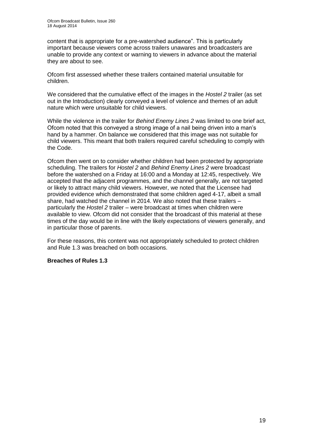content that is appropriate for a pre-watershed audience". This is particularly important because viewers come across trailers unawares and broadcasters are unable to provide any context or warning to viewers in advance about the material they are about to see.

Ofcom first assessed whether these trailers contained material unsuitable for children.

We considered that the cumulative effect of the images in the *Hostel 2* trailer (as set out in the Introduction) clearly conveyed a level of violence and themes of an adult nature which were unsuitable for child viewers.

While the violence in the trailer for *Behind Enemy Lines 2* was limited to one brief act, Ofcom noted that this conveyed a strong image of a nail being driven into a man's hand by a hammer. On balance we considered that this image was not suitable for child viewers. This meant that both trailers required careful scheduling to comply with the Code.

Ofcom then went on to consider whether children had been protected by appropriate scheduling. The trailers for *Hostel 2* and *Behind Enemy Lines 2* were broadcast before the watershed on a Friday at 16:00 and a Monday at 12:45, respectively. We accepted that the adjacent programmes, and the channel generally, are not targeted or likely to attract many child viewers. However, we noted that the Licensee had provided evidence which demonstrated that some children aged 4-17, albeit a small share, had watched the channel in 2014. We also noted that these trailers – particularly the *Hostel 2* trailer – were broadcast at times when children were available to view. Ofcom did not consider that the broadcast of this material at these times of the day would be in line with the likely expectations of viewers generally, and in particular those of parents.

For these reasons, this content was not appropriately scheduled to protect children and Rule 1.3 was breached on both occasions.

#### **Breaches of Rules 1.3**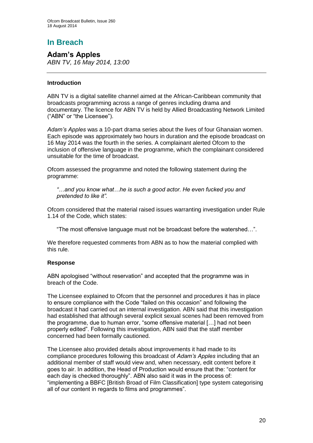# **In Breach**

**Adam's Apples** *ABN TV, 16 May 2014, 13:00*

#### **Introduction**

ABN TV is a digital satellite channel aimed at the African-Caribbean community that broadcasts programming across a range of genres including drama and documentary. The licence for ABN TV is held by Allied Broadcasting Network Limited ("ABN" or "the Licensee").

*Adam's Apples* was a 10-part drama series about the lives of four Ghanaian women. Each episode was approximately two hours in duration and the episode broadcast on 16 May 2014 was the fourth in the series. A complainant alerted Ofcom to the inclusion of offensive language in the programme, which the complainant considered unsuitable for the time of broadcast.

Ofcom assessed the programme and noted the following statement during the programme:

*"…and you know what…he is such a good actor. He even fucked you and pretended to like it".*

Ofcom considered that the material raised issues warranting investigation under Rule 1.14 of the Code, which states:

"The most offensive language must not be broadcast before the watershed…".

We therefore requested comments from ABN as to how the material complied with this rule.

#### **Response**

ABN apologised "without reservation" and accepted that the programme was in breach of the Code.

The Licensee explained to Ofcom that the personnel and procedures it has in place to ensure compliance with the Code "failed on this occasion" and following the broadcast it had carried out an internal investigation. ABN said that this investigation had established that although several explicit sexual scenes had been removed from the programme, due to human error, "some offensive material […] had not been properly edited". Following this investigation, ABN said that the staff member concerned had been formally cautioned.

The Licensee also provided details about improvements it had made to its compliance procedures following this broadcast of *Adam's Apples* including that an additional member of staff would view and, when necessary, edit content before it goes to air. In addition, the Head of Production would ensure that the: "content for each day is checked thoroughly". ABN also said it was in the process of: "implementing a BBFC [British Broad of Film Classification] type system categorising all of our content in regards to films and programmes".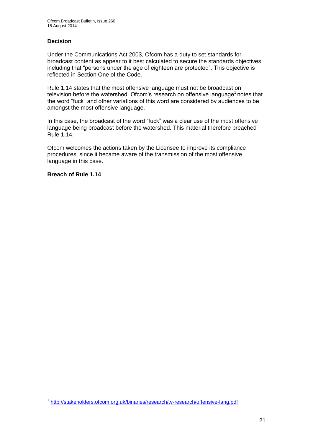#### **Decision**

Under the Communications Act 2003, Ofcom has a duty to set standards for broadcast content as appear to it best calculated to secure the standards objectives, including that "persons under the age of eighteen are protected". This objective is reflected in Section One of the Code.

Rule 1.14 states that the most offensive language must not be broadcast on television before the watershed. Ofcom's research on offensive language<sup>1</sup> notes that the word "fuck" and other variations of this word are considered by audiences to be amongst the most offensive language.

In this case, the broadcast of the word "fuck" was a clear use of the most offensive language being broadcast before the watershed. This material therefore breached Rule 1.14.

Ofcom welcomes the actions taken by the Licensee to improve its compliance procedures, since it became aware of the transmission of the most offensive language in this case.

**Breach of Rule 1.14**

<sup>1</sup> <sup>1</sup> <http://stakeholders.ofcom.org.uk/binaries/research/tv-research/offensive-lang.pdf>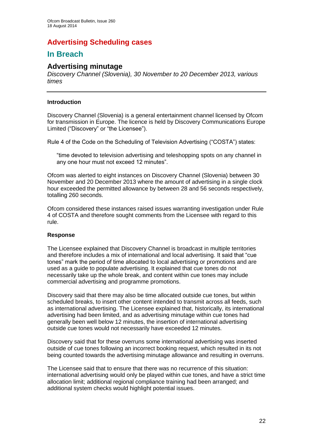# **Advertising Scheduling cases**

## **In Breach**

## **Advertising minutage**

*Discovery Channel (Slovenia), 30 November to 20 December 2013, various times*

#### **Introduction**

Discovery Channel (Slovenia) is a general entertainment channel licensed by Ofcom for transmission in Europe. The licence is held by Discovery Communications Europe Limited ("Discovery" or "the Licensee").

Rule 4 of the Code on the Scheduling of Television Advertising ("COSTA") states:

"time devoted to television advertising and teleshopping spots on any channel in any one hour must not exceed 12 minutes".

Ofcom was alerted to eight instances on Discovery Channel (Slovenia) between 30 November and 20 December 2013 where the amount of advertising in a single clock hour exceeded the permitted allowance by between 28 and 56 seconds respectively, totalling 260 seconds.

Ofcom considered these instances raised issues warranting investigation under Rule 4 of COSTA and therefore sought comments from the Licensee with regard to this rule.

#### **Response**

The Licensee explained that Discovery Channel is broadcast in multiple territories and therefore includes a mix of international and local advertising. It said that "cue tones" mark the period of time allocated to local advertising or promotions and are used as a guide to populate advertising. It explained that cue tones do not necessarily take up the whole break, and content within cue tones may include commercial advertising and programme promotions.

Discovery said that there may also be time allocated outside cue tones, but within scheduled breaks, to insert other content intended to transmit across all feeds, such as international advertising. The Licensee explained that, historically, its international advertising had been limited, and as advertising minutage within cue tones had generally been well below 12 minutes, the insertion of international advertising outside cue tones would not necessarily have exceeded 12 minutes.

Discovery said that for these overruns some international advertising was inserted outside of cue tones following an incorrect booking request, which resulted in its not being counted towards the advertising minutage allowance and resulting in overruns.

The Licensee said that to ensure that there was no recurrence of this situation: international advertising would only be played within cue tones, and have a strict time allocation limit; additional regional compliance training had been arranged; and additional system checks would highlight potential issues.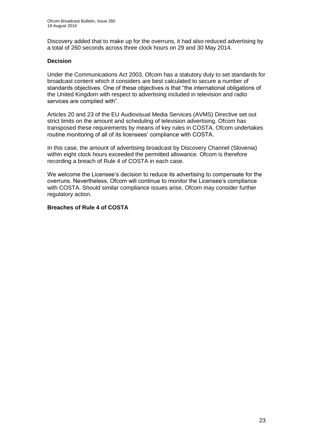Discovery added that to make up for the overruns, it had also reduced advertising by a total of 260 seconds across three clock hours on 29 and 30 May 2014.

#### **Decision**

Under the Communications Act 2003, Ofcom has a statutory duty to set standards for broadcast content which it considers are best calculated to secure a number of standards objectives. One of these objectives is that "the international obligations of the United Kingdom with respect to advertising included in television and radio services are complied with".

Articles 20 and 23 of the EU Audiovisual Media Services (AVMS) Directive set out strict limits on the amount and scheduling of television advertising. Ofcom has transposed these requirements by means of key rules in COSTA. Ofcom undertakes routine monitoring of all of its licensees' compliance with COSTA.

In this case, the amount of advertising broadcast by Discovery Channel (Slovenia) within eight clock hours exceeded the permitted allowance. Ofcom is therefore recording a breach of Rule 4 of COSTA in each case.

We welcome the Licensee's decision to reduce its advertising to compensate for the overruns. Nevertheless, Ofcom will continue to monitor the Licensee's compliance with COSTA. Should similar compliance issues arise, Ofcom may consider further regulatory action.

#### **Breaches of Rule 4 of COSTA**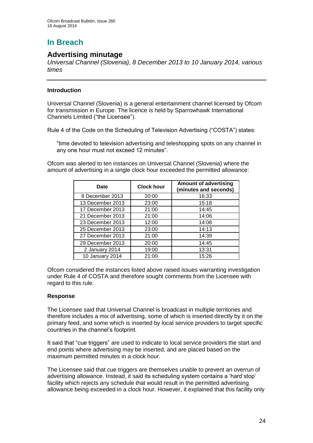# **In Breach**

## **Advertising minutage**

*Universal Channel (Slovenia), 8 December 2013 to 10 January 2014, various times*

#### **Introduction**

Universal Channel (Slovenia) is a general entertainment channel licensed by Ofcom for transmission in Europe. The licence is held by Sparrowhawk International Channels Limited ("the Licensee").

Rule 4 of the Code on the Scheduling of Television Advertising ("COSTA") states:

"time devoted to television advertising and teleshopping spots on any channel in any one hour must not exceed 12 minutes".

Ofcom was alerted to ten instances on Universal Channel (Slovenia) where the amount of advertising in a single clock hour exceeded the permitted allowance:

| Date             | <b>Clock hour</b> | <b>Amount of advertising</b><br>(minutes and seconds) |
|------------------|-------------------|-------------------------------------------------------|
| 8 December 2013  | 20:00             | 16:33                                                 |
| 13 December 2013 | 23:00             | 15:18                                                 |
| 17 December 2013 | 21:00             | 14:45                                                 |
| 21 December 2013 | 21:00             | 14:06                                                 |
| 23 December 2013 | 12:00             | 14:08                                                 |
| 25 December 2013 | 23:00             | 14:13                                                 |
| 27 December 2013 | 21:00             | 14:39                                                 |
| 29 December 2013 | 20:00             | 14:45                                                 |
| 2 January 2014   | 19:00             | 13:31                                                 |
| 10 January 2014  | 21:00             | 15:26                                                 |

Ofcom considered the instances listed above raised issues warranting investigation under Rule 4 of COSTA and therefore sought comments from the Licensee with regard to this rule.

#### **Response**

The Licensee said that Universal Channel is broadcast in multiple territories and therefore includes a mix of advertising, some of which is inserted directly by it on the primary feed, and some which is inserted by local service providers to target specific countries in the channel's footprint.

It said that "cue triggers" are used to indicate to local service providers the start and end points where advertising may be inserted, and are placed based on the maximum permitted minutes in a clock hour.

The Licensee said that cue triggers are themselves unable to prevent an overrun of advertising allowance. Instead, it said its scheduling system contains a 'hard stop' facility which rejects any schedule that would result in the permitted advertising allowance being exceeded in a clock hour. However, it explained that this facility only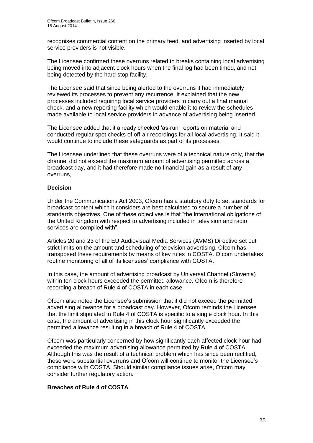recognises commercial content on the primary feed, and advertising inserted by local service providers is not visible.

The Licensee confirmed these overruns related to breaks containing local advertising being moved into adjacent clock hours when the final log had been timed, and not being detected by the hard stop facility.

The Licensee said that since being alerted to the overruns it had immediately reviewed its processes to prevent any recurrence. It explained that the new processes included requiring local service providers to carry out a final manual check, and a new reporting facility which would enable it to review the schedules made available to local service providers in advance of advertising being inserted.

The Licensee added that it already checked 'as-run' reports on material and conducted regular spot checks of off-air recordings for all local advertising. It said it would continue to include these safeguards as part of its processes.

The Licensee underlined that these overruns were of a technical nature only, that the channel did not exceed the maximum amount of advertising permitted across a broadcast day, and it had therefore made no financial gain as a result of any overruns,

#### **Decision**

Under the Communications Act 2003, Ofcom has a statutory duty to set standards for broadcast content which it considers are best calculated to secure a number of standards objectives. One of these objectives is that "the international obligations of the United Kingdom with respect to advertising included in television and radio services are complied with".

Articles 20 and 23 of the EU Audiovisual Media Services (AVMS) Directive set out strict limits on the amount and scheduling of television advertising. Ofcom has transposed these requirements by means of key rules in COSTA. Ofcom undertakes routine monitoring of all of its licensees' compliance with COSTA.

In this case, the amount of advertising broadcast by Universal Channel (Slovenia) within ten clock hours exceeded the permitted allowance. Ofcom is therefore recording a breach of Rule 4 of COSTA in each case.

Ofcom also noted the Licensee's submission that it did not exceed the permitted advertising allowance for a broadcast day. However, Ofcom reminds the Licensee that the limit stipulated in Rule 4 of COSTA is specific to a single clock hour. In this case, the amount of advertising in this clock hour significantly exceeded the permitted allowance resulting in a breach of Rule 4 of COSTA.

Ofcom was particularly concerned by how significantly each affected clock hour had exceeded the maximum advertising allowance permitted by Rule 4 of COSTA. Although this was the result of a technical problem which has since been rectified, these were substantial overruns and Ofcom will continue to monitor the Licensee's compliance with COSTA. Should similar compliance issues arise, Ofcom may consider further regulatory action.

#### **Breaches of Rule 4 of COSTA**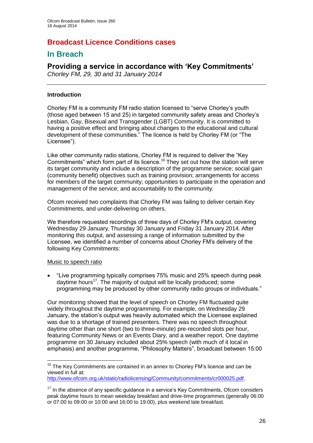## **Broadcast Licence Conditions cases**

## **In Breach**

# **Providing a service in accordance with 'Key Commitments'**

*Chorley FM, 29, 30 and 31 January 2014*

#### **Introduction**

Chorley FM is a community FM radio station licensed to "serve Chorley's youth (those aged between 15 and 25) in targeted community safety areas and Chorley's Lesbian, Gay, Bisexual and Transgender (LGBT) Community. It is committed to having a positive effect and bringing about changes to the educational and cultural development of these communities." The licence is held by Chorley FM (or "The Licensee").

Like other community radio stations, Chorley FM is required to deliver the "Key Commitments" which form part of its licence.<sup>16</sup> They set out how the station will serve its target community and include a description of the programme service; social gain (community benefit) objectives such as training provision; arrangements for access for members of the target community; opportunities to participate in the operation and management of the service; and accountability to the community.

Ofcom received two complaints that Chorley FM was failing to deliver certain Key Commitments, and under-delivering on others.

We therefore requested recordings of three days of Chorley FM's output, covering Wednesday 29 January, Thursday 30 January and Friday 31 January 2014. After monitoring this output, and assessing a range of information submitted by the Licensee, we identified a number of concerns about Chorley FM's delivery of the following Key Commitments:

#### Music to speech ratio

1

 "Live programming typically comprises 75% music and 25% speech during peak daytime hours<sup>17</sup>. The majority of output will be locally produced; some programming may be produced by other community radio groups or individuals."

Our monitoring showed that the level of speech on Chorley FM fluctuated quite widely throughout the daytime programming. For example, on Wednesday 29 January, the station's output was heavily automated which the Licensee explained was due to a shortage of trained presenters. There was no speech throughout daytime other than one short (two to three-minute) pre-recorded slots per hour, featuring Community News or an Events Diary, and a weather report. One daytime programme on 30 January included about 25% speech (with much of it local in emphasis) and another programme, "Philosophy Matters", broadcast between 15:00

 $16$  The Key Commitments are contained in an annex to Chorley FM's licence and can be viewed in full at:

[http://www.ofcom.org.uk/static/radiolicensing/Community/commitments/cr000025.pdf.](http://www.ofcom.org.uk/static/radiolicensing/Community/commitments/cr000025.pdf)

 $17$  In the absence of any specific quidance in a service's Key Commitments, Ofcom considers peak daytime hours to mean weekday breakfast and drive-time programmes (generally 06:00 or 07:00 to 09:00 or 10:00 and 16:00 to 19:00), plus weekend late breakfast.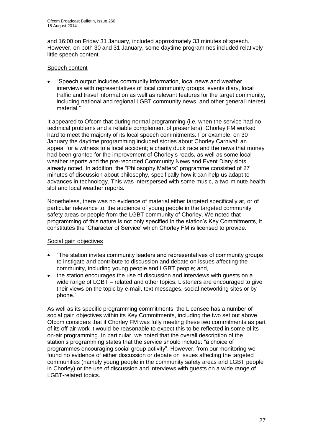and 16:00 on Friday 31 January, included approximately 33 minutes of speech. However, on both 30 and 31 January, some daytime programmes included relatively little speech content.

#### Speech content

 "Speech output includes community information, local news and weather, interviews with representatives of local community groups, events diary, local traffic and travel information as well as relevant features for the target community, including national and regional LGBT community news, and other general interest material."

It appeared to Ofcom that during normal programming (i.e. when the service had no technical problems and a reliable complement of presenters), Chorley FM worked hard to meet the majority of its local speech commitments. For example, on 30 January the daytime programming included stories about Chorley Carnival; an appeal for a witness to a local accident; a charity duck race and the news that money had been granted for the improvement of Chorley's roads, as well as some local weather reports and the pre-recorded Community News and Event Diary slots already noted. In addition, the "Philosophy Matters" programme consisted of 27 minutes of discussion about philosophy, specifically how it can help us adapt to advances in technology. This was interspersed with some music, a two-minute health slot and local weather reports.

Nonetheless, there was no evidence of material either targeted specifically at, or of particular relevance to, the audience of young people in the targeted community safety areas or people from the LGBT community of Chorley. We noted that programming of this nature is not only specified in the station's Key Commitments, it constitutes the 'Character of Service' which Chorley FM is licensed to provide.

#### Social gain objectives

- "The station invites community leaders and representatives of community groups to instigate and contribute to discussion and debate on issues affecting the community, including young people and LGBT people; and,
- the station encourages the use of discussion and interviews with guests on a wide range of LGBT – related and other topics. Listeners are encouraged to give their views on the topic by e-mail, text messages, social networking sites or by phone."

As well as its specific programming commitments, the Licensee has a number of social gain objectives within its Key Commitments, including the two set out above. Ofcom considers that if Chorley FM was fully meeting these two commitments as part of its off-air work it would be reasonable to expect this to be reflected in some of its on-air programming. In particular, we noted that the overall description of the station's programming states that the service should include: "a choice of programmes encouraging social group activity". However, from our monitoring we found no evidence of either discussion or debate on issues affecting the targeted communities (namely young people in the community safety areas and LGBT people in Chorley) or the use of discussion and interviews with guests on a wide range of LGBT-related topics.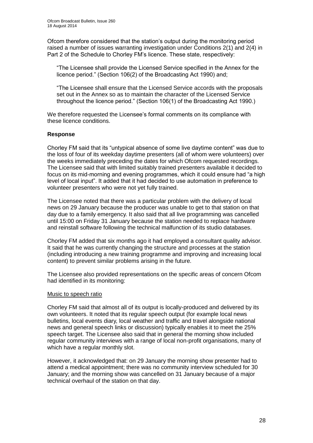Ofcom therefore considered that the station's output during the monitoring period raised a number of issues warranting investigation under Conditions 2(1) and 2(4) in Part 2 of the Schedule to Chorley FM's licence. These state, respectively:

"The Licensee shall provide the Licensed Service specified in the Annex for the licence period." (Section 106(2) of the Broadcasting Act 1990) and;

"The Licensee shall ensure that the Licensed Service accords with the proposals set out in the Annex so as to maintain the character of the Licensed Service throughout the licence period." (Section 106(1) of the Broadcasting Act 1990.)

We therefore requested the Licensee's formal comments on its compliance with these licence conditions.

#### **Response**

Chorley FM said that its "untypical absence of some live daytime content" was due to the loss of four of its weekday daytime presenters (all of whom were volunteers) over the weeks immediately preceding the dates for which Ofcom requested recordings. The Licensee said that with limited suitably trained presenters available it decided to focus on its mid-morning and evening programmes, which it could ensure had "a high level of local input". It added that it had decided to use automation in preference to volunteer presenters who were not yet fully trained.

The Licensee noted that there was a particular problem with the delivery of local news on 29 January because the producer was unable to get to that station on that day due to a family emergency. It also said that all live programming was cancelled until 15:00 on Friday 31 January because the station needed to replace hardware and reinstall software following the technical malfunction of its studio databases.

Chorley FM added that six months ago it had employed a consultant quality advisor. It said that he was currently changing the structure and processes at the station (including introducing a new training programme and improving and increasing local content) to prevent similar problems arising in the future.

The Licensee also provided representations on the specific areas of concern Ofcom had identified in its monitoring:

#### Music to speech ratio

Chorley FM said that almost all of its output is locally-produced and delivered by its own volunteers. It noted that its regular speech output (for example local news bulletins, local events diary, local weather and traffic and travel alongside national news and general speech links or discussion) typically enables it to meet the 25% speech target. The Licensee also said that in general the morning show included regular community interviews with a range of local non-profit organisations, many of which have a regular monthly slot.

However, it acknowledged that: on 29 January the morning show presenter had to attend a medical appointment; there was no community interview scheduled for 30 January; and the morning show was cancelled on 31 January because of a major technical overhaul of the station on that day.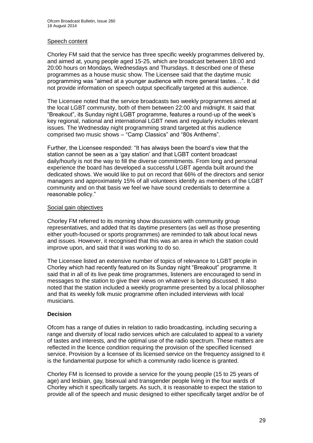#### Speech content

Chorley FM said that the service has three specific weekly programmes delivered by, and aimed at, young people aged 15-25, which are broadcast between 18:00 and 20:00 hours on Mondays, Wednesdays and Thursdays. It described one of these programmes as a house music show. The Licensee said that the daytime music programming was "aimed at a younger audience with more general tastes…". It did not provide information on speech output specifically targeted at this audience.

The Licensee noted that the service broadcasts two weekly programmes aimed at the local LGBT community, both of them between 22:00 and midnight. It said that "Breakout", its Sunday night LGBT programme, features a round-up of the week's key regional, national and international LGBT news and regularly includes relevant issues. The Wednesday night programming strand targeted at this audience comprised two music shows – "Camp Classics" and "80s Anthems".

Further, the Licensee responded: "It has always been the board's view that the station cannot be seen as a 'gay station' and that LGBT content broadcast daily/hourly is not the way to fill the diverse commitments. From long and personal experience the board has developed a successful LGBT agenda built around the dedicated shows. We would like to put on record that 66% of the directors and senior managers and approximately 15% of all volunteers identify as members of the LGBT community and on that basis we feel we have sound credentials to determine a reasonable policy."

#### Social gain objectives

Chorley FM referred to its morning show discussions with community group representatives, and added that its daytime presenters (as well as those presenting either youth-focused or sports programmes) are reminded to talk about local news and issues. However, it recognised that this was an area in which the station could improve upon, and said that it was working to do so.

The Licensee listed an extensive number of topics of relevance to LGBT people in Chorley which had recently featured on its Sunday night "Breakout" programme. It said that in all of its live peak time programmes, listeners are encouraged to send in messages to the station to give their views on whatever is being discussed. It also noted that the station included a weekly programme presented by a local philosopher and that its weekly folk music programme often included interviews with local musicians.

#### **Decision**

Ofcom has a range of duties in relation to radio broadcasting, including securing a range and diversity of local radio services which are calculated to appeal to a variety of tastes and interests, and the optimal use of the radio spectrum. These matters are reflected in the licence condition requiring the provision of the specified licensed service. Provision by a licensee of its licensed service on the frequency assigned to it is the fundamental purpose for which a community radio licence is granted.

Chorley FM is licensed to provide a service for the young people (15 to 25 years of age) and lesbian, gay, bisexual and transgender people living in the four wards of Chorley which it specifically targets. As such, it is reasonable to expect the station to provide all of the speech and music designed to either specifically target and/or be of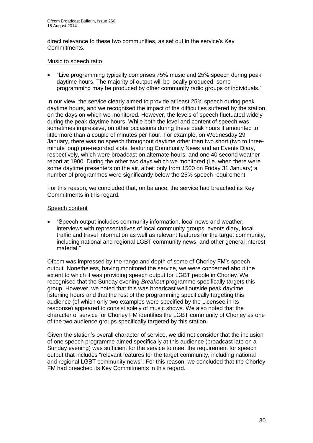direct relevance to these two communities, as set out in the service's Key Commitments.

#### Music to speech ratio

 "Live programming typically comprises 75% music and 25% speech during peak daytime hours. The majority of output will be locally produced; some programming may be produced by other community radio groups or individuals."

In our view, the service clearly aimed to provide at least 25% speech during peak daytime hours, and we recognised the impact of the difficulties suffered by the station on the days on which we monitored. However, the levels of speech fluctuated widely during the peak daytime hours. While both the level and content of speech was sometimes impressive, on other occasions during these peak hours it amounted to little more than a couple of minutes per hour. For example, on Wednesday 29 January, there was no speech throughout daytime other than two short (two to threeminute long) pre-recorded slots, featuring Community News and an Events Diary, respectively, which were broadcast on alternate hours, and one 40 second weather report at 1900. During the other two days which we monitored (i.e. when there were some daytime presenters on the air, albeit only from 1500 on Friday 31 January) a number of programmes were significantly below the 25% speech requirement.

For this reason, we concluded that, on balance, the service had breached its Key Commitments in this regard.

#### Speech content

 "Speech output includes community information, local news and weather, interviews with representatives of local community groups, events diary, local traffic and travel information as well as relevant features for the target community, including national and regional LGBT community news, and other general interest material."

Ofcom was impressed by the range and depth of some of Chorley FM's speech output. Nonetheless, having monitored the service, we were concerned about the extent to which it was providing speech output for LGBT people in Chorley. We recognised that the Sunday evening *Breakout* programme specifically targets this group. However, we noted that this was broadcast well outside peak daytime listening hours and that the rest of the programming specifically targeting this audience (of which only two examples were specified by the Licensee in its response) appeared to consist solely of music shows. We also noted that the character of service for Chorley FM identifies the LGBT community of Chorley as one of the two audience groups specifically targeted by this station.

Given the station's overall character of service, we did not consider that the inclusion of one speech programme aimed specifically at this audience (broadcast late on a Sunday evening) was sufficient for the service to meet the requirement for speech output that includes "relevant features for the target community, including national and regional LGBT community news". For this reason, we concluded that the Chorley FM had breached its Key Commitments in this regard.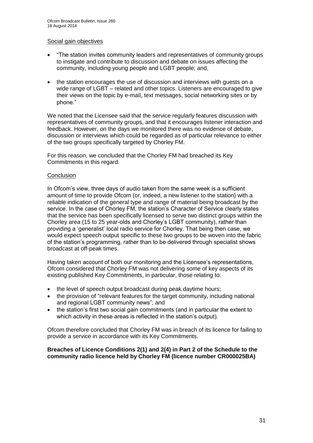#### Social gain objectives

- "The station invites community leaders and representatives of community groups to instigate and contribute to discussion and debate on issues affecting the community, including young people and LGBT people; and,
- the station encourages the use of discussion and interviews with guests on a wide range of LGBT – related and other topics. Listeners are encouraged to give their views on the topic by e-mail, text messages, social networking sites or by phone."

We noted that the Licensee said that the service regularly features discussion with representatives of community groups, and that it encourages listener interaction and feedback. However, on the days we monitored there was no evidence of debate, discussion or interviews which could be regarded as of particular relevance to either of the two groups specifically targeted by Chorley FM.

For this reason, we concluded that the Chorley FM had breached its Key Commitments in this regard.

#### **Conclusion**

In Ofcom's view, three days of audio taken from the same week is a sufficient amount of time to provide Ofcom (or, indeed, a new listener to the station) with a reliable indication of the general type and range of material being broadcast by the service. In the case of Chorley FM, the station's Character of Service clearly states that the service has been specifically licensed to serve two distinct groups within the Chorley area (15 to 25 year-olds and Chorley's LGBT community), rather than providing a 'generalist' local radio service for Chorley. That being then case, we would expect speech output specific to these two groups to be woven into the fabric of the station's programming, rather than to be delivered through specialist shows broadcast at off-peak times.

Having taken account of both our monitoring and the Licensee's representations, Ofcom considered that Chorley FM was not delivering some of key aspects of its existing published Key Commitments, in particular, those relating to:

- the level of speech output broadcast during peak daytime hours;
- the provision of "relevant features for the target community, including national and regional LGBT community news"; and
- the station's first two social gain commitments (and in particular the extent to which activity in these areas is reflected in the station's output).

Ofcom therefore concluded that Chorley FM was in breach of its licence for failing to provide a service in accordance with its Key Commitments.

#### **Breaches of Licence Conditions 2(1) and 2(4) in Part 2 of the Schedule to the community radio licence held by Chorley FM (licence number CR000025BA)**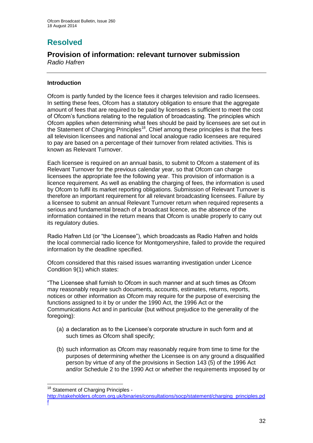# **Resolved**

# **Provision of information: relevant turnover submission**

*Radio Hafren*

#### **Introduction**

Ofcom is partly funded by the licence fees it charges television and radio licensees. In setting these fees, Ofcom has a statutory obligation to ensure that the aggregate amount of fees that are required to be paid by licensees is sufficient to meet the cost of Ofcom's functions relating to the regulation of broadcasting. The principles which Ofcom applies when determining what fees should be paid by licensees are set out in the Statement of Charging Principles<sup>18</sup>. Chief among these principles is that the fees all television licensees and national and local analogue radio licensees are required to pay are based on a percentage of their turnover from related activities. This is known as Relevant Turnover.

Each licensee is required on an annual basis, to submit to Ofcom a statement of its Relevant Turnover for the previous calendar year, so that Ofcom can charge licensees the appropriate fee the following year. This provision of information is a licence requirement. As well as enabling the charging of fees, the information is used by Ofcom to fulfil its market reporting obligations. Submission of Relevant Turnover is therefore an important requirement for all relevant broadcasting licensees. Failure by a licensee to submit an annual Relevant Turnover return when required represents a serious and fundamental breach of a broadcast licence, as the absence of the information contained in the return means that Ofcom is unable properly to carry out its regulatory duties.

Radio Hafren Ltd (or "the Licensee"), which broadcasts as Radio Hafren and holds the local commercial radio licence for Montgomeryshire, failed to provide the required information by the deadline specified.

Ofcom considered that this raised issues warranting investigation under Licence Condition 9(1) which states:

"The Licensee shall furnish to Ofcom in such manner and at such times as Ofcom may reasonably require such documents, accounts, estimates, returns, reports, notices or other information as Ofcom may require for the purpose of exercising the functions assigned to it by or under the 1990 Act, the 1996 Act or the Communications Act and in particular (but without prejudice to the generality of the foregoing):

- (a) a declaration as to the Licensee's corporate structure in such form and at such times as Ofcom shall specify;
- (b) such information as Ofcom may reasonably require from time to time for the purposes of determining whether the Licensee is on any ground a disqualified person by virtue of any of the provisions in Section 143 (5) of the 1996 Act and/or Schedule 2 to the 1990 Act or whether the requirements imposed by or

1

<sup>&</sup>lt;sup>18</sup> Statement of Charging Principles -

[http://stakeholders.ofcom.org.uk/binaries/consultations/socp/statement/charging\\_principles.pd](http://stakeholders.ofcom.org.uk/binaries/consultations/socp/statement/charging_principles.pdf) [f](http://stakeholders.ofcom.org.uk/binaries/consultations/socp/statement/charging_principles.pdf)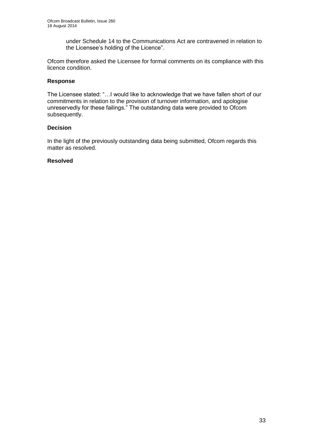under Schedule 14 to the Communications Act are contravened in relation to the Licensee's holding of the Licence".

Ofcom therefore asked the Licensee for formal comments on its compliance with this licence condition.

#### **Response**

The Licensee stated: "…I would like to acknowledge that we have fallen short of our commitments in relation to the provision of turnover information, and apologise unreservedly for these failings." The outstanding data were provided to Ofcom subsequently.

#### **Decision**

In the light of the previously outstanding data being submitted, Ofcom regards this matter as resolved.

#### **Resolved**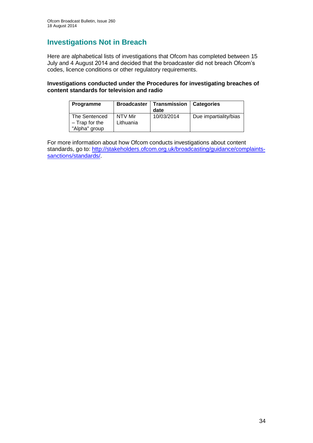# **Investigations Not in Breach**

Here are alphabetical lists of investigations that Ofcom has completed between 15 July and 4 August 2014 and decided that the broadcaster did not breach Ofcom's codes, licence conditions or other regulatory requirements.

#### **Investigations conducted under the Procedures for investigating breaches of content standards for television and radio**

| <b>Programme</b>                  | <b>Broadcaster</b>   | Transmission<br>date | <b>Categories</b>     |
|-----------------------------------|----------------------|----------------------|-----------------------|
| The Sentenced<br>$-$ Trap for the | NTV Mir<br>Lithuania | 10/03/2014           | Due impartiality/bias |
| "Alpha" group                     |                      |                      |                       |

For more information about how Ofcom conducts investigations about content standards, go to: [http://stakeholders.ofcom.org.uk/broadcasting/guidance/complaints](http://stakeholders.ofcom.org.uk/broadcasting/guidance/complaints-sanctions/standards/)[sanctions/standards/.](http://stakeholders.ofcom.org.uk/broadcasting/guidance/complaints-sanctions/standards/)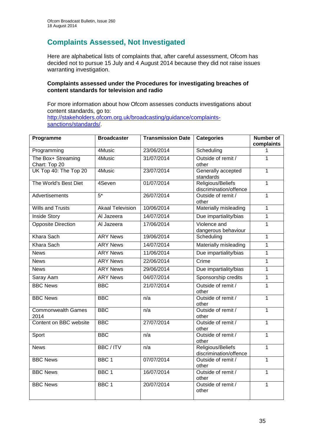# **Complaints Assessed, Not Investigated**

Here are alphabetical lists of complaints that, after careful assessment, Ofcom has decided not to pursue 15 July and 4 August 2014 because they did not raise issues warranting investigation.

#### **Complaints assessed under the Procedures for investigating breaches of content standards for television and radio**

For more information about how Ofcom assesses conducts investigations about content standards, go to: [http://stakeholders.ofcom.org.uk/broadcasting/guidance/complaints](http://stakeholders.ofcom.org.uk/broadcasting/guidance/complaints-sanctions/standards/)[sanctions/standards/.](http://stakeholders.ofcom.org.uk/broadcasting/guidance/complaints-sanctions/standards/)

| Programme                           | <b>Broadcaster</b>      | <b>Transmission Date</b> | <b>Categories</b>                           | <b>Number of</b><br>complaints |
|-------------------------------------|-------------------------|--------------------------|---------------------------------------------|--------------------------------|
| Programming                         | 4Music                  | 23/06/2014               | Scheduling                                  | 1                              |
| The Box+ Streaming<br>Chart: Top 20 | 4Music                  | 31/07/2014               | Outside of remit /<br>other                 | 1                              |
| UK Top 40: The Top 20               | 4Music                  | 23/07/2014               | Generally accepted<br>standards             | $\mathbf{1}$                   |
| The World's Best Diet               | 4Seven                  | 01/07/2014               | Religious/Beliefs<br>discrimination/offence | $\mathbf{1}$                   |
| Advertisements                      | $5*$                    | 26/07/2014               | Outside of remit /<br>other                 | $\mathbf{1}$                   |
| <b>Wills and Trusts</b>             | <b>Akaal Television</b> | 10/06/2014               | Materially misleading                       | $\mathbf{1}$                   |
| <b>Inside Story</b>                 | Al Jazeera              | 14/07/2014               | Due impartiality/bias                       | 1                              |
| <b>Opposite Direction</b>           | Al Jazeera              | 17/06/2014               | Violence and<br>dangerous behaviour         | $\mathbf{1}$                   |
| <b>Khara Sach</b>                   | <b>ARY News</b>         | 19/06/2014               | Scheduling                                  | $\mathbf{1}$                   |
| Khara Sach                          | <b>ARY News</b>         | 14/07/2014               | Materially misleading                       | 1                              |
| <b>News</b>                         | <b>ARY News</b>         | 11/06/2014               | Due impartiality/bias                       | 1                              |
| <b>News</b>                         | <b>ARY News</b>         | 22/06/2014               | Crime                                       | $\mathbf 1$                    |
| <b>News</b>                         | <b>ARY News</b>         | 29/06/2014               | Due impartiality/bias                       | 1                              |
| Saray Aam                           | <b>ARY News</b>         | 04/07/2014               | Sponsorship credits                         | $\mathbf{1}$                   |
| <b>BBC News</b>                     | <b>BBC</b>              | 21/07/2014               | Outside of remit /<br>other                 | 1                              |
| <b>BBC News</b>                     | <b>BBC</b>              | n/a                      | Outside of remit /<br>other                 | 1                              |
| <b>Commonwealth Games</b><br>2014   | <b>BBC</b>              | n/a                      | Outside of remit /<br>other                 | $\mathbf{1}$                   |
| Content on BBC website              | <b>BBC</b>              | 27/07/2014               | Outside of remit /<br>other                 | 1                              |
| Sport                               | <b>BBC</b>              | n/a                      | Outside of remit /<br>other                 | 1                              |
| <b>News</b>                         | <b>BBC/ITV</b>          | n/a                      | Religious/Beliefs<br>discrimination/offence | 1                              |
| <b>BBC News</b>                     | BBC <sub>1</sub>        | 07/07/2014               | Outside of remit /<br>other                 | $\mathbf{1}$                   |
| <b>BBC News</b>                     | BBC <sub>1</sub>        | 16/07/2014               | Outside of remit /<br>other                 | $\mathbf{1}$                   |
| <b>BBC News</b>                     | BBC <sub>1</sub>        | 20/07/2014               | Outside of remit /<br>other                 | $\mathbf{1}$                   |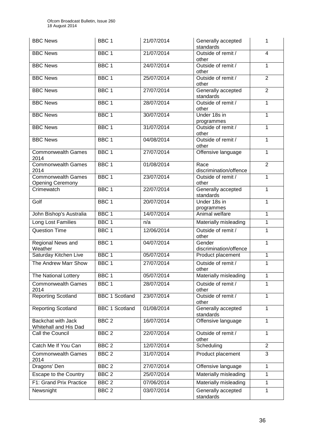| <b>BBC News</b>                                      | BBC <sub>1</sub>      | 21/07/2014 | Generally accepted<br>standards  | 1              |
|------------------------------------------------------|-----------------------|------------|----------------------------------|----------------|
| <b>BBC News</b>                                      | BBC <sub>1</sub>      | 21/07/2014 | Outside of remit /<br>other      | $\overline{4}$ |
| <b>BBC News</b>                                      | BBC <sub>1</sub>      | 24/07/2014 | Outside of remit /<br>other      | $\mathbf{1}$   |
| <b>BBC News</b>                                      | BBC <sub>1</sub>      | 25/07/2014 | Outside of remit /<br>other      | $\overline{2}$ |
| <b>BBC News</b>                                      | BBC <sub>1</sub>      | 27/07/2014 | Generally accepted<br>standards  | $\overline{2}$ |
| <b>BBC News</b>                                      | BBC <sub>1</sub>      | 28/07/2014 | Outside of remit /<br>other      | $\mathbf{1}$   |
| <b>BBC News</b>                                      | BBC <sub>1</sub>      | 30/07/2014 | Under 18s in<br>programmes       | 1              |
| <b>BBC News</b>                                      | BBC <sub>1</sub>      | 31/07/2014 | Outside of remit /<br>other      | 1              |
| <b>BBC News</b>                                      | BBC <sub>1</sub>      | 04/08/2014 | Outside of remit /<br>other      | 1              |
| <b>Commonwealth Games</b><br>2014                    | BBC <sub>1</sub>      | 27/07/2014 | Offensive language               | 1              |
| <b>Commonwealth Games</b><br>2014                    | BBC <sub>1</sub>      | 01/08/2014 | Race<br>discrimination/offence   | $\overline{2}$ |
| <b>Commonwealth Games</b><br><b>Opening Ceremony</b> | BBC <sub>1</sub>      | 23/07/2014 | Outside of remit /<br>other      | 1              |
| Crimewatch                                           | BBC <sub>1</sub>      | 22/07/2014 | Generally accepted<br>standards  | 1              |
| Golf                                                 | BBC <sub>1</sub>      | 20/07/2014 | Under 18s in<br>programmes       | 1              |
| John Bishop's Australia                              | BBC <sub>1</sub>      | 14/07/2014 | Animal welfare                   | $\mathbf{1}$   |
| <b>Long Lost Families</b>                            | BBC <sub>1</sub>      | n/a        | Materially misleading            | $\mathbf{1}$   |
| <b>Question Time</b>                                 | BBC <sub>1</sub>      | 12/06/2014 | Outside of remit /<br>other      | 1              |
| Regional News and<br>Weather                         | BBC <sub>1</sub>      | 04/07/2014 | Gender<br>discrimination/offence | 1              |
| Saturday Kitchen Live                                | BBC <sub>1</sub>      | 05/07/2014 | Product placement                | $\mathbf{1}$   |
| The Andrew Marr Show                                 | BBC <sub>1</sub>      | 27/07/2014 | Outside of remit /<br>other      | 1              |
| The National Lottery                                 | BBC <sub>1</sub>      | 05/07/2014 | Materially misleading            | 1              |
| <b>Commonwealth Games</b><br>2014                    | BBC <sub>1</sub>      | 28/07/2014 | Outside of remit /<br>other      | 1              |
| <b>Reporting Scotland</b>                            | <b>BBC 1 Scotland</b> | 23/07/2014 | Outside of remit /<br>other      | $\mathbf{1}$   |
| <b>Reporting Scotland</b>                            | <b>BBC 1 Scotland</b> | 01/08/2014 | Generally accepted<br>standards  | 1              |
| <b>Backchat with Jack</b><br>Whitehall and His Dad   | BBC <sub>2</sub>      | 16/07/2014 | Offensive language               | $\mathbf{1}$   |
| Call the Council                                     | BBC <sub>2</sub>      | 22/07/2014 | Outside of remit /<br>other      | 1              |
| Catch Me If You Can                                  | BBC <sub>2</sub>      | 12/07/2014 | Scheduling                       | $\overline{2}$ |
| <b>Commonwealth Games</b><br>2014                    | BBC <sub>2</sub>      | 31/07/2014 | Product placement                | 3              |
| Dragons' Den                                         | BBC <sub>2</sub>      | 27/07/2014 | Offensive language               | 1              |
| Escape to the Country                                | BBC <sub>2</sub>      | 25/07/2014 | Materially misleading            | 1              |
| F1: Grand Prix Practice                              | BBC <sub>2</sub>      | 07/06/2014 | Materially misleading            | $\mathbf{1}$   |
| Newsnight                                            | BBC <sub>2</sub>      | 03/07/2014 | Generally accepted<br>standards  | 1              |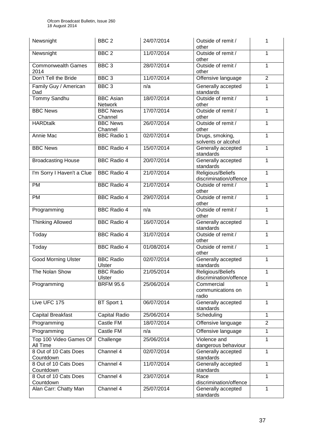| Newsnight                          | BBC <sub>2</sub>            | 24/07/2014 | Outside of remit /<br>other                 | 1              |
|------------------------------------|-----------------------------|------------|---------------------------------------------|----------------|
| Newsnight                          | BBC <sub>2</sub>            | 11/07/2014 | Outside of remit /<br>other                 | 1              |
| <b>Commonwealth Games</b><br>2014  | BBC <sub>3</sub>            | 28/07/2014 | Outside of remit /<br>other                 | $\mathbf{1}$   |
| Don't Tell the Bride               | BBC <sub>3</sub>            | 11/07/2014 | Offensive language                          | $\overline{2}$ |
| Family Guy / American<br>Dad       | BBC <sub>3</sub>            | n/a        | Generally accepted<br>standards             | 1              |
| Tommy Sandhu                       | <b>BBC Asian</b><br>Network | 18/07/2014 | Outside of remit /<br>other                 | 1              |
| <b>BBC News</b>                    | <b>BBC News</b><br>Channel  | 17/07/2014 | Outside of remit /<br>other                 | 1              |
| <b>HARDtalk</b>                    | <b>BBC News</b><br>Channel  | 26/07/2014 | Outside of remit /<br>other                 | 1              |
| <b>Annie Mac</b>                   | <b>BBC Radio 1</b>          | 02/07/2014 | Drugs, smoking,<br>solvents or alcohol      | 1              |
| <b>BBC News</b>                    | <b>BBC Radio 4</b>          | 15/07/2014 | Generally accepted<br>standards             | $\mathbf{1}$   |
| <b>Broadcasting House</b>          | <b>BBC Radio 4</b>          | 20/07/2014 | Generally accepted<br>standards             | $\mathbf{1}$   |
| I'm Sorry I Haven't a Clue         | <b>BBC Radio 4</b>          | 21/07/2014 | Religious/Beliefs<br>discrimination/offence | 1              |
| <b>PM</b>                          | <b>BBC Radio 4</b>          | 21/07/2014 | Outside of remit /<br>other                 | 1              |
| <b>PM</b>                          | <b>BBC Radio 4</b>          | 29/07/2014 | Outside of remit /<br>other                 | 1              |
| Programming                        | <b>BBC Radio 4</b>          | n/a        | Outside of remit /<br>other                 | 1              |
| <b>Thinking Allowed</b>            | <b>BBC Radio 4</b>          | 16/07/2014 | Generally accepted<br>standards             | 1              |
| Today                              | <b>BBC Radio 4</b>          | 31/07/2014 | Outside of remit /<br>other                 | 1              |
| Today                              | <b>BBC Radio 4</b>          | 01/08/2014 | Outside of remit /<br>other                 | 1              |
| <b>Good Morning Ulster</b>         | <b>BBC Radio</b><br>Ulster  | 02/07/2014 | Generally accepted<br>standards             | 1              |
| The Nolan Show                     | <b>BBC Radio</b><br>Ulster  | 21/05/2014 | Religious/Beliefs<br>discrimination/offence | $\mathbf 1$    |
| Programming                        | <b>BRFM 95.6</b>            | 25/06/2014 | Commercial<br>communications on<br>radio    | 1              |
| Live UFC 175                       | BT Sport 1                  | 06/07/2014 | Generally accepted<br>standards             | $\mathbf{1}$   |
| <b>Capital Breakfast</b>           | Capital Radio               | 25/06/2014 | Scheduling                                  | $\mathbf{1}$   |
| Programming                        | Castle FM                   | 18/07/2014 | Offensive language                          | $\overline{2}$ |
| Programming                        | Castle FM                   | n/a        | Offensive language                          | 1              |
| Top 100 Video Games Of<br>All Time | Challenge                   | 25/06/2014 | Violence and<br>dangerous behaviour         | 1              |
| 8 Out of 10 Cats Does<br>Countdown | Channel 4                   | 02/07/2014 | Generally accepted<br>standards             | 1              |
| 8 Out of 10 Cats Does<br>Countdown | Channel 4                   | 11/07/2014 | Generally accepted<br>standards             | 1              |
| 8 Out of 10 Cats Does<br>Countdown | Channel 4                   | 23/07/2014 | Race<br>discrimination/offence              | 1              |
| Alan Carr: Chatty Man              | Channel $4$                 | 25/07/2014 | Generally accepted<br>standards             | 1              |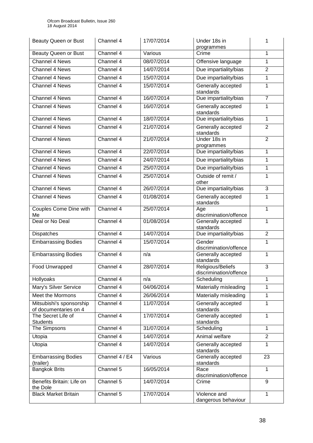| Beauty Queen or Bust                              | Channel 4      | 17/07/2014 | Under 18s in<br>programmes                  | 1              |
|---------------------------------------------------|----------------|------------|---------------------------------------------|----------------|
| Beauty Queen or Bust                              | Channel 4      | Various    | Crime                                       | 1              |
| <b>Channel 4 News</b>                             | Channel 4      | 08/07/2014 | Offensive language                          | 1              |
| <b>Channel 4 News</b>                             | Channel 4      | 14/07/2014 | Due impartiality/bias                       | $\overline{2}$ |
| Channel 4 News                                    | Channel 4      | 15/07/2014 | Due impartiality/bias                       | 1              |
| Channel 4 News                                    | Channel 4      | 15/07/2014 | Generally accepted<br>standards             | 1              |
| <b>Channel 4 News</b>                             | Channel 4      | 16/07/2014 | Due impartiality/bias                       | $\overline{7}$ |
| Channel 4 News                                    | Channel 4      | 16/07/2014 | Generally accepted<br>standards             | 1              |
| Channel 4 News                                    | Channel 4      | 18/07/2014 | Due impartiality/bias                       | $\mathbf{1}$   |
| <b>Channel 4 News</b>                             | Channel 4      | 21/07/2014 | Generally accepted<br>standards             | $\overline{2}$ |
| Channel 4 News                                    | Channel 4      | 21/07/2014 | Under 18s in<br>programmes                  | $\overline{2}$ |
| <b>Channel 4 News</b>                             | Channel 4      | 22/07/2014 | Due impartiality/bias                       | $\mathbf{1}$   |
| Channel 4 News                                    | Channel 4      | 24/07/2014 | Due impartiality/bias                       | $\mathbf{1}$   |
| <b>Channel 4 News</b>                             | Channel 4      | 25/07/2014 | Due impartiality/bias                       | 1              |
| Channel 4 News                                    | Channel 4      | 25/07/2014 | Outside of remit /<br>other                 | 1              |
| <b>Channel 4 News</b>                             | Channel 4      | 26/07/2014 | Due impartiality/bias                       | 3              |
| Channel 4 News                                    | Channel 4      | 01/08/2014 | Generally accepted<br>standards             | 1              |
| Couples Come Dine with<br>Me                      | Channel 4      | 25/07/2014 | Age<br>discrimination/offence               | 1              |
| Deal or No Deal                                   | Channel 4      | 01/08/2014 | Generally accepted<br>standards             | 1              |
| Dispatches                                        | Channel 4      | 14/07/2014 | Due impartiality/bias                       | $\overline{2}$ |
| <b>Embarrassing Bodies</b>                        | Channel 4      | 15/07/2014 | Gender<br>discrimination/offence            | 1              |
| <b>Embarrassing Bodies</b>                        | Channel 4      | n/a        | Generally accepted<br>standards             | 1              |
| Food Unwrapped                                    | Channel 4      | 28/07/2014 | Religious/Beliefs<br>discrimination/offence | 3              |
| Hollyoaks                                         | Channel 4      | n/a        | Scheduling                                  | 1              |
| Mary's Silver Service                             | Channel 4      | 04/06/2014 | Materially misleading                       | 1              |
| Meet the Mormons                                  | Channel 4      | 26/06/2014 | Materially misleading                       | $\mathbf{1}$   |
| Mitsubishi's sponsorship<br>of documentaries on 4 | Channel 4      | 11/07/2014 | Generally accepted<br>standards             | $\mathbf{1}$   |
| The Secret Life of<br><b>Students</b>             | Channel 4      | 17/07/2014 | Generally accepted<br>standards             | 1              |
| The Simpsons                                      | Channel 4      | 31/07/2014 | Scheduling                                  | 1              |
| Utopia                                            | Channel 4      | 14/07/2014 | Animal welfare                              | $\overline{2}$ |
| Utopia                                            | Channel 4      | 14/07/2014 | Generally accepted<br>standards             | 1              |
| <b>Embarrassing Bodies</b><br>(trailer)           | Channel 4 / E4 | Various    | Generally accepted<br>standards             | 23             |
| <b>Bangkok Brits</b>                              | Channel 5      | 16/05/2014 | Race<br>discrimination/offence              | $\mathbf{1}$   |
| Benefits Britain: Life on<br>the Dole             | Channel 5      | 14/07/2014 | Crime                                       | 9              |
| <b>Black Market Britain</b>                       | Channel 5      | 17/07/2014 | Violence and<br>dangerous behaviour         | 1              |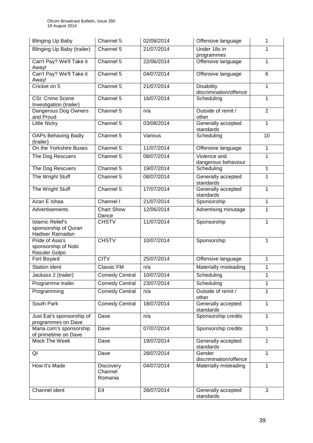| <b>Blinging Up Baby</b>                                            | Channel 5                              | 02/08/2014 | Offensive language                          | 1              |
|--------------------------------------------------------------------|----------------------------------------|------------|---------------------------------------------|----------------|
| Blinging Up Baby (trailer)                                         | Channel 5                              | 21/07/2014 | Under 18s in                                | 1              |
|                                                                    |                                        |            | programmes                                  |                |
| Can't Pay? We'll Take it<br>Away!                                  | Channel 5                              | 22/06/2014 | Offensive language                          | 1              |
| Can't Pay? We'll Take it<br>Away!                                  | Channel 5                              | 04/07/2014 | Offensive language                          | 6              |
| Cricket on 5                                                       | Channel 5                              | 21/07/2014 | <b>Disability</b><br>discrimination/offence | 1              |
| CSI: Crime Scene<br>Investigation (trailer)                        | Channel 5                              | 16/07/2014 | Scheduling                                  | 1              |
| Dangerous Dog Owners<br>and Proud                                  | Channel 5                              | n/a        | Outside of remit /<br>other                 | $\overline{2}$ |
| <b>Little Nicky</b>                                                | Channel 5                              | 03/08/2014 | Generally accepted<br>standards             | 1              |
| <b>OAPs Behaving Badly</b><br>(trailer)                            | Channel 5                              | Various    | Scheduling                                  | 10             |
| On the Yorkshire Buses                                             | Channel 5                              | 11/07/2014 | Offensive language                          | $\mathbf{1}$   |
| The Dog Rescuers                                                   | Channel 5                              | 08/07/2014 | Violence and<br>dangerous behaviour         | 1              |
| The Dog Rescuers                                                   | Channel 5                              | 19/07/2014 | Scheduling                                  | $\mathbf{1}$   |
| The Wright Stuff                                                   | Channel 5                              | 08/07/2014 | Generally accepted                          | 1              |
|                                                                    |                                        |            | standards                                   |                |
| The Wright Stuff                                                   | Channel 5                              | 17/07/2014 | Generally accepted<br>standards             | $\mathbf{1}$   |
| Azan E Ishaa                                                       | Channel I                              | 21/07/2014 | Sponsorship                                 | 1              |
| Advertisements                                                     | <b>Chart Show</b><br>Dance             | 12/06/2014 | Advertising minutage                        | 1              |
| <b>Islamic Relief's</b><br>sponsorship of Quran<br>Hadiser Ramadan | <b>CHSTV</b>                           | 11/07/2014 | Sponsorship                                 | 1              |
| Pride of Asia's<br>sponsorship of Nobi<br>Rasuler Golpo            | <b>CHSTV</b>                           | 10/07/2014 | Sponsorship                                 | 1              |
| Fort Boyard                                                        | <b>CITV</b>                            | 25/07/2014 | Offensive language                          | 1              |
| <b>Station ident</b>                                               | Classic FM                             | n/a        | Materially misleading                       | 1              |
| Jackass 2 (trailer)                                                | <b>Comedy Central</b>                  | 10/07/2014 | Scheduling                                  | 1              |
| Programme trailer                                                  | <b>Comedy Central</b>                  | 23/07/2014 | Scheduling                                  | 1              |
| Programming                                                        | <b>Comedy Central</b>                  | n/a        | Outside of remit /<br>other                 | 1              |
| South Park                                                         | <b>Comedy Central</b>                  | 18/07/2014 | Generally accepted<br>standards             | 1              |
| Just Eat's sponsorship of<br>programmes on Dave                    | Dave                                   | n/a        | Sponsorship credits                         | 1              |
| Maria.com's sponsorship<br>of primetime on Dave                    | Dave                                   | 07/07/2014 | Sponsorship credits                         | 1              |
| Mock The Week                                                      | Dave                                   | 19/07/2014 | Generally accepted<br>standards             | 1              |
| QI                                                                 | Dave                                   | 28/07/2014 | Gender<br>discrimination/offence            | $\mathbf{1}$   |
| How It's Made                                                      | <b>Discovery</b><br>Channel<br>Romania | 04/07/2014 | Materially misleading                       | 1              |
| Channel ident                                                      | E <sub>4</sub>                         | 28/07/2014 | Generally accepted<br>standards             | 3              |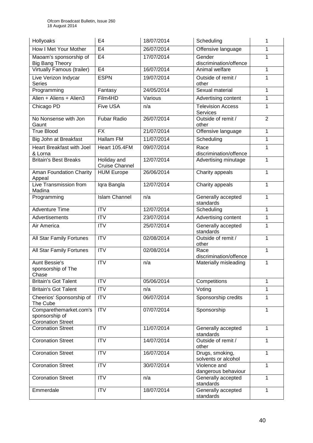| Hollyoaks                                                            | E <sub>4</sub>                       | 18/07/2014 | Scheduling                             | 1              |
|----------------------------------------------------------------------|--------------------------------------|------------|----------------------------------------|----------------|
| How I Met Your Mother                                                | E <sub>4</sub>                       | 26/07/2014 | Offensive language                     | 1              |
| Maoam's sponsorship of<br><b>Big Bang Theory</b>                     | E <sub>4</sub>                       | 17/07/2014 | Gender<br>discrimination/offence       | $\mathbf{1}$   |
| <b>Virtually Famous (trailer)</b>                                    | E4                                   | 16/07/2014 | Animal welfare                         | 1              |
| Live Verizon Indycar<br><b>Series</b>                                | <b>ESPN</b>                          | 19/07/2014 | Outside of remit /<br>other            | 1              |
| Programming                                                          | Fantasy                              | 24/05/2014 | Sexual material                        | 1              |
| Alien + Aliens + Alien3                                              | Film4HD                              | Various    | Advertising content                    | 1              |
| Chicago PD                                                           | <b>Five USA</b>                      | n/a        | <b>Television Access</b><br>Services   | 1              |
| No Nonsense with Jon<br>Gaunt                                        | <b>Fubar Radio</b>                   | 26/07/2014 | Outside of remit /<br>other            | $\overline{2}$ |
| <b>True Blood</b>                                                    | <b>FX</b>                            | 21/07/2014 | Offensive language                     | 1              |
| Big John at Breakfast                                                | Hallam FM                            | 11/07/2014 | Scheduling                             | 1              |
| <b>Heart Breakfast with Joel</b><br>& Lorna                          | Heart 105.4FM                        | 09/07/2014 | Race<br>discrimination/offence         | 1              |
| <b>Britain's Best Breaks</b>                                         | Holiday and<br><b>Cruise Channel</b> | 12/07/2014 | Advertising minutage                   | $\mathbf{1}$   |
| <b>Aman Foundation Charity</b><br>Appeal                             | <b>HUM</b> Europe                    | 26/06/2014 | Charity appeals                        | 1              |
| Live Transmission from<br>Madina                                     | Iqra Bangla                          | 12/07/2014 | Charity appeals                        | 1              |
| Programming                                                          | <b>Islam Channel</b>                 | n/a        | Generally accepted<br>standards        | 1              |
| <b>Adventure Time</b>                                                | <b>ITV</b>                           | 12/07/2014 | Scheduling                             | 1              |
| Advertisements                                                       | <b>ITV</b>                           | 23/07/2014 | Advertising content                    | 1              |
| Air America                                                          | $\overline{ITV}$                     | 25/07/2014 | Generally accepted<br>standards        | 1              |
| All Star Family Fortunes                                             | $\overline{IV}$                      | 02/08/2014 | Outside of remit /<br>other            | 1              |
| All Star Family Fortunes                                             | $\overline{IV}$                      | 02/08/2014 | Race<br>discrimination/offence         | 1              |
| <b>Aunt Bessie's</b><br>sponsorship of The<br>Chase                  | $\overline{ITV}$                     | n/a        | Materially misleading                  | 1              |
| <b>Britain's Got Talent</b>                                          | <b>ITV</b>                           | 05/06/2014 | Competitions                           | 1              |
| <b>Britain's Got Talent</b>                                          | ITV                                  | n/a        | Voting                                 | 1              |
| Cheerios' Sponsorship of<br>The Cube                                 | $\overline{IV}$                      | 06/07/2014 | Sponsorship credits                    | 1              |
| Comparethemarket.com's<br>sponsorship of<br><b>Coronation Street</b> | <b>ITV</b>                           | 07/07/2014 | Sponsorship                            | 1              |
| <b>Coronation Street</b>                                             | <b>ITV</b>                           | 11/07/2014 | Generally accepted<br>standards        | $\mathbf{1}$   |
| <b>Coronation Street</b>                                             | <b>ITV</b>                           | 14/07/2014 | Outside of remit /<br>other            | 1              |
| <b>Coronation Street</b>                                             | <b>ITV</b>                           | 16/07/2014 | Drugs, smoking,<br>solvents or alcohol | $\mathbf{1}$   |
| <b>Coronation Street</b>                                             | <b>ITV</b>                           | 30/07/2014 | Violence and<br>dangerous behaviour    | $\mathbf{1}$   |
| <b>Coronation Street</b>                                             | <b>ITV</b>                           | n/a        | Generally accepted<br>standards        | 1              |
| Emmerdale                                                            | $\overline{IV}$                      | 18/07/2014 | Generally accepted<br>standards        | 1              |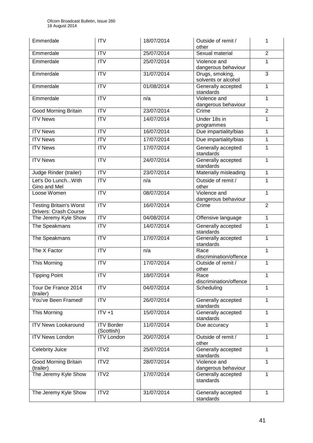| Emmerdale                                               | <b>ITV</b>                      | 18/07/2014 | Outside of remit /<br>other            | 1              |
|---------------------------------------------------------|---------------------------------|------------|----------------------------------------|----------------|
| Emmerdale                                               | <b>ITV</b>                      | 25/07/2014 | Sexual material                        | $\overline{2}$ |
| Emmerdale                                               | <b>ITV</b>                      | 25/07/2014 | Violence and<br>dangerous behaviour    | 1              |
| Emmerdale                                               | <b>ITV</b>                      | 31/07/2014 | Drugs, smoking,<br>solvents or alcohol | $\overline{3}$ |
| Emmerdale                                               | $\overline{ITV}$                | 01/08/2014 | Generally accepted<br>standards        | 1              |
| Emmerdale                                               | <b>ITV</b>                      | n/a        | Violence and<br>dangerous behaviour    | 1              |
| <b>Good Morning Britain</b>                             | ITV                             | 23/07/2014 | Crime                                  | $\overline{2}$ |
| <b>ITV News</b>                                         | <b>ITV</b>                      | 14/07/2014 | Under 18s in<br>programmes             | $\mathbf{1}$   |
| <b>ITV News</b>                                         | <b>ITV</b>                      | 16/07/2014 | Due impartiality/bias                  | $\mathbf{1}$   |
| <b>ITV News</b>                                         | ITV                             | 17/07/2014 | Due impartiality/bias                  | 1              |
| <b>ITV News</b>                                         | <b>ITV</b>                      | 17/07/2014 | Generally accepted<br>standards        | 1              |
| <b>ITV News</b>                                         | $\overline{IV}$                 | 24/07/2014 | Generally accepted<br>standards        | $\mathbf{1}$   |
| Judge Rinder (trailer)                                  | <b>ITV</b>                      | 23/07/2014 | Materially misleading                  | $\mathbf{1}$   |
| Let's Do Lunch With<br>Gino and Mel                     | ITV                             | n/a        | Outside of remit /<br>other            | $\mathbf{1}$   |
| Loose Women                                             | $\overline{ITV}$                | 08/07/2014 | Violence and<br>dangerous behaviour    | $\mathbf{1}$   |
| <b>Testing Britain's Worst</b><br>Drivers: Crash Course | <b>ITV</b>                      | 16/07/2014 | Crime                                  | $\overline{2}$ |
| The Jeremy Kyle Show                                    | ITV                             | 04/08/2014 | Offensive language                     | $\mathbf{1}$   |
| The Speakmans                                           | <b>ITV</b>                      | 14/07/2014 | Generally accepted<br>standards        | 1              |
| The Speakmans                                           | $\overline{IV}$                 | 17/07/2014 | Generally accepted<br>standards        | $\mathbf{1}$   |
| The X Factor                                            | <b>ITV</b>                      | n/a        | Race<br>discrimination/offence         | $\mathbf{1}$   |
| This Morning                                            | <b>ITV</b>                      | 17/07/2014 | Outside of remit /<br>other            | 1              |
| <b>Tipping Point</b>                                    | <b>ITV</b>                      | 18/07/2014 | Race<br>discrimination/offence         | 1              |
| Tour De France 2014<br>(trailer)                        | <b>ITV</b>                      | 04/07/2014 | Scheduling                             | 1              |
| You've Been Framed!                                     | <b>ITV</b>                      | 26/07/2014 | Generally accepted<br>standards        | $\mathbf{1}$   |
| This Morning                                            | $ITV +1$                        | 15/07/2014 | Generally accepted<br>standards        | $\mathbf{1}$   |
| <b>ITV News Lookaround</b>                              | <b>ITV Border</b><br>(Scottish) | 11/07/2014 | Due accuracy                           | 1              |
| <b>ITV News London</b>                                  | <b>ITV London</b>               | 20/07/2014 | Outside of remit /<br>other            | $\mathbf{1}$   |
| <b>Celebrity Juice</b>                                  | ITV2                            | 25/07/2014 | Generally accepted<br>standards        | $\mathbf{1}$   |
| <b>Good Morning Britain</b><br>(trailer)                | ITV <sub>2</sub>                | 28/07/2014 | Violence and<br>dangerous behaviour    | $\mathbf{1}$   |
| The Jeremy Kyle Show                                    | ITV2                            | 17/07/2014 | Generally accepted<br>standards        | $\mathbf{1}$   |
| The Jeremy Kyle Show                                    | ITV <sub>2</sub>                | 31/07/2014 | Generally accepted<br>standards        | 1              |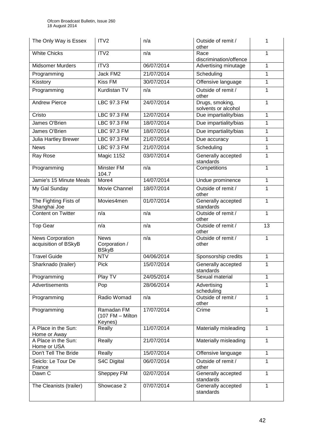| The Only Way is Essex                           | ITV2                                         | n/a        | Outside of remit /<br>other            | 1               |
|-------------------------------------------------|----------------------------------------------|------------|----------------------------------------|-----------------|
| <b>White Chicks</b>                             | ITV2                                         | n/a        | Race<br>discrimination/offence         | 1               |
| <b>Midsomer Murders</b>                         | ITV3                                         | 06/07/2014 | Advertising minutage                   | 1               |
| Programming                                     | Jack FM2                                     | 21/07/2014 | Scheduling                             | 1               |
| Kisstory                                        | <b>Kiss FM</b>                               | 30/07/2014 | Offensive language                     | 1               |
| Programming                                     | Kurdistan TV                                 | n/a        | Outside of remit /<br>other            | 1               |
| <b>Andrew Pierce</b>                            | <b>LBC 97.3 FM</b>                           | 24/07/2014 | Drugs, smoking,<br>solvents or alcohol | 1               |
| Cristo                                          | LBC 97.3 FM                                  | 12/07/2014 | Due impartiality/bias                  | 1               |
| James O'Brien                                   | LBC 97.3 FM                                  | 18/07/2014 | Due impartiality/bias                  | 1               |
| James O'Brien                                   | LBC 97.3 FM                                  | 18/07/2014 | Due impartiality/bias                  | 1               |
| <b>Julia Hartley Brewer</b>                     | <b>LBC 97.3 FM</b>                           | 21/07/2014 | Due accuracy                           | 1               |
| <b>News</b>                                     | <b>LBC 97.3 FM</b>                           | 21/07/2014 | Scheduling                             | 1               |
| Ray Rose                                        | Magic 1152                                   | 03/07/2014 | Generally accepted<br>standards        | 1               |
| Programming                                     | <b>Minster FM</b><br>104.7                   | n/a        | Competitions                           | 1               |
| Jamie's 15 Minute Meals                         | More4                                        | 14/07/2014 | Undue prominence                       | 1               |
| My Gal Sunday                                   | Movie Channel                                | 18/07/2014 | Outside of remit /<br>other            | 1               |
| The Fighting Fists of<br>Shanghai Joe           | Movies4men                                   | 01/07/2014 | Generally accepted<br>standards        | 1               |
| <b>Content on Twitter</b>                       | n/a                                          | n/a        | Outside of remit /<br>other            | 1               |
| <b>Top Gear</b>                                 | n/a                                          | n/a        | Outside of remit /<br>other            | $\overline{13}$ |
| <b>News Corporation</b><br>acquisition of BSkyB | <b>News</b><br>Corporation /<br><b>BSkyB</b> | n/a        | Outside of remit /<br>other            | 1               |
| <b>Travel Guide</b>                             | <b>NTV</b>                                   | 04/06/2014 | Sponsorship credits                    | 1               |
| Sharknado (trailer)                             | <b>Pick</b>                                  | 15/07/2014 | Generally accepted<br>standards        | 1               |
| Programming                                     | Play TV                                      | 24/05/2014 | Sexual material                        | 1               |
| <b>Advertisements</b>                           | Pop                                          | 28/06/2014 | Advertising<br>scheduling              | 1               |
| Programming                                     | Radio Womad                                  | n/a        | Outside of remit /<br>other            | $\mathbf{1}$    |
| Programming                                     | Ramadan FM<br>$(107$ FM - Milton<br>Keynes)  | 17/07/2014 | Crime                                  | 1               |
| A Place in the Sun:<br>Home or Away             | Really                                       | 11/07/2014 | Materially misleading                  | 1               |
| A Place in the Sun:<br>Home or USA              | Really                                       | 21/07/2014 | Materially misleading                  | 1               |
| Don't Tell The Bride                            | Really                                       | 15/07/2014 | Offensive language                     | 1               |
| Seiclo: Le Tour De<br>France                    | S4C Digital                                  | 06/07/2014 | Outside of remit /<br>other            | 1               |
| Dawn $\overline{C}$                             | Sheppey FM                                   | 02/07/2014 | Generally accepted<br>standards        | 1               |
| The Cleanists (trailer)                         | Showcase 2                                   | 07/07/2014 | Generally accepted<br>standards        | $\mathbf{1}$    |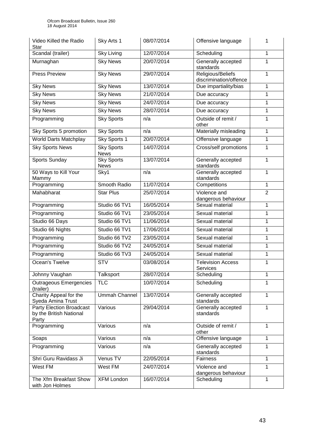| Video Killed the Radio<br><b>Star</b>                               | Sky Arts 1                       | 08/07/2014 | Offensive language                          | 1              |
|---------------------------------------------------------------------|----------------------------------|------------|---------------------------------------------|----------------|
| Scandal (trailer)                                                   | <b>Sky Living</b>                | 12/07/2014 | Scheduling                                  | 1              |
| Murnaghan                                                           | <b>Sky News</b>                  | 20/07/2014 | Generally accepted<br>standards             | 1              |
| <b>Press Preview</b>                                                | <b>Sky News</b>                  | 29/07/2014 | Religious/Beliefs<br>discrimination/offence | 1              |
| <b>Sky News</b>                                                     | <b>Sky News</b>                  | 13/07/2014 | Due impartiality/bias                       | 1              |
| <b>Sky News</b>                                                     | <b>Sky News</b>                  | 21/07/2014 | Due accuracy                                | 1              |
| <b>Sky News</b>                                                     | <b>Sky News</b>                  | 24/07/2014 | Due accuracy                                | 1              |
| <b>Sky News</b>                                                     | <b>Sky News</b>                  | 28/07/2014 | Due accuracy                                | 1              |
| Programming                                                         | <b>Sky Sports</b>                | n/a        | Outside of remit /<br>other                 | 1              |
| Sky Sports 5 promotion                                              | <b>Sky Sports</b>                | n/a        | Materially misleading                       | 1              |
| <b>World Darts Matchplay</b>                                        | Sky Sports 1                     | 20/07/2014 | Offensive language                          | 1              |
| <b>Sky Sports News</b>                                              | <b>Sky Sports</b><br><b>News</b> | 14/07/2014 | Cross/self promotions                       | 1              |
| Sports Sunday                                                       | <b>Sky Sports</b><br><b>News</b> | 13/07/2014 | Generally accepted<br>standards             | 1              |
| 50 Ways to Kill Your<br>Mammy                                       | Sky1                             | n/a        | Generally accepted<br>standards             | 1              |
| Programming                                                         | Smooth Radio                     | 11/07/2014 | Competitions                                | 1              |
| Mahabharat                                                          | <b>Star Plus</b>                 | 25/07/2014 | Violence and<br>dangerous behaviour         | $\overline{2}$ |
| Programming                                                         | Studio 66 TV1                    | 16/05/2014 | Sexual material                             | $\mathbf{1}$   |
| Programming                                                         | Studio 66 TV1                    | 23/05/2014 | Sexual material                             | 1              |
| Studio 66 Days                                                      | Studio 66 TV1                    | 11/06/2014 | Sexual material                             | 1              |
| Studio 66 Nights                                                    | Studio 66 TV1                    | 17/06/2014 | Sexual material                             | 1              |
| Programming                                                         | Studio 66 TV2                    | 23/05/2014 | Sexual material                             | 1              |
| Programming                                                         | Studio 66 TV2                    | 24/05/2014 | Sexual material                             | 1              |
| Programming                                                         | Studio 66 TV3                    | 24/05/2014 | Sexual material                             | 1              |
| Ocean's Twelve                                                      | <b>STV</b>                       | 03/08/2014 | <b>Television Access</b><br>Services        | 1              |
| Johnny Vaughan                                                      | Talksport                        | 28/07/2014 | Scheduling                                  | 1              |
| <b>Outrageous Emergencies</b><br>(trailer)                          | <b>TLC</b>                       | 10/07/2014 | Scheduling                                  | 1              |
| Charity Appeal for the<br>Syeda Amina Trust                         | <b>Ummah Channel</b>             | 13/07/2014 | Generally accepted<br>standards             | $\mathbf{1}$   |
| <b>Party Election Broadcast</b><br>by the British National<br>Party | Various                          | 29/04/2014 | Generally accepted<br>standards             | 1              |
| Programming                                                         | Various                          | n/a        | Outside of remit /<br>other                 | 1              |
| Soaps                                                               | Various                          | n/a        | Offensive language                          | 1              |
| Programming                                                         | Various                          | n/a        | Generally accepted<br>standards             | $\mathbf{1}$   |
| Shri Guru Ravidass Ji                                               | Venus TV                         | 22/05/2014 | Fairness                                    | 1              |
| West FM                                                             | West FM                          | 24/07/2014 | Violence and<br>dangerous behaviour         | 1              |
| The Xfm Breakfast Show<br>with Jon Holmes                           | <b>XFM London</b>                | 16/07/2014 | Scheduling                                  | 1              |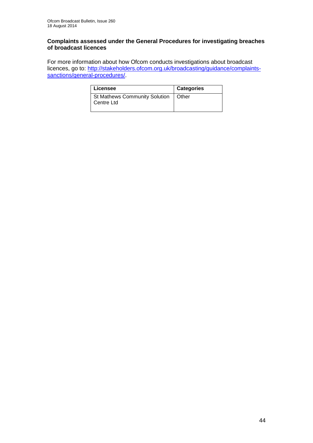#### **Complaints assessed under the General Procedures for investigating breaches of broadcast licences**

For more information about how Ofcom conducts investigations about broadcast licences, go to: [http://stakeholders.ofcom.org.uk/broadcasting/guidance/complaints](http://stakeholders.ofcom.org.uk/broadcasting/guidance/complaints-sanctions/general-procedures/)[sanctions/general-procedures/.](http://stakeholders.ofcom.org.uk/broadcasting/guidance/complaints-sanctions/general-procedures/)

| Licensee                                            | <b>Categories</b> |
|-----------------------------------------------------|-------------------|
| St Mathews Community Solution   Other<br>Centre Ltd |                   |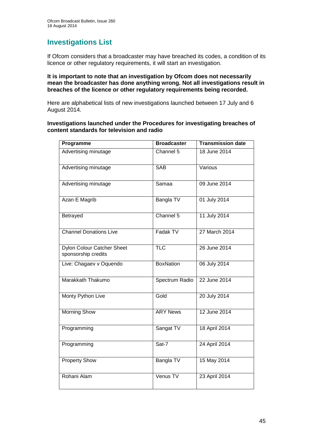# **Investigations List**

If Ofcom considers that a broadcaster may have breached its codes, a condition of its licence or other regulatory requirements, it will start an investigation.

#### **It is important to note that an investigation by Ofcom does not necessarily mean the broadcaster has done anything wrong. Not all investigations result in breaches of the licence or other regulatory requirements being recorded.**

Here are alphabetical lists of new investigations launched between 17 July and 6 August 2014.

#### **Investigations launched under the Procedures for investigating breaches of content standards for television and radio**

| Programme                                                | <b>Broadcaster</b> | <b>Transmission date</b> |
|----------------------------------------------------------|--------------------|--------------------------|
| Advertising minutage                                     | Channel 5          | 18 June 2014             |
| Advertising minutage                                     | <b>SAB</b>         | Various                  |
| Advertising minutage                                     | Samaa              | 09 June 2014             |
| Azan E Magrib                                            | Bangla TV          | 01 July 2014             |
| Betrayed                                                 | Channel 5          | 11 July 2014             |
| <b>Channel Donations Live</b>                            | Fadak TV           | 27 March 2014            |
| <b>Dylon Colour Catcher Sheet</b><br>sponsorship credits | <b>TLC</b>         | 26 June 2014             |
| Live: Chagaev v Oquendo                                  | <b>BoxNation</b>   | 06 July 2014             |
| Marakkath Thakumo                                        | Spectrum Radio     | 22 June 2014             |
| Monty Python Live                                        | Gold               | 20 July 2014             |
| <b>Morning Show</b>                                      | <b>ARY News</b>    | 12 June 2014             |
| Programming                                              | Sangat TV          | 18 April 2014            |
| Programming                                              | Sat-7              | 24 April 2014            |
| <b>Property Show</b>                                     | Bangla TV          | 15 May 2014              |
| Rohani Alam                                              | Venus TV           | 23 April 2014            |